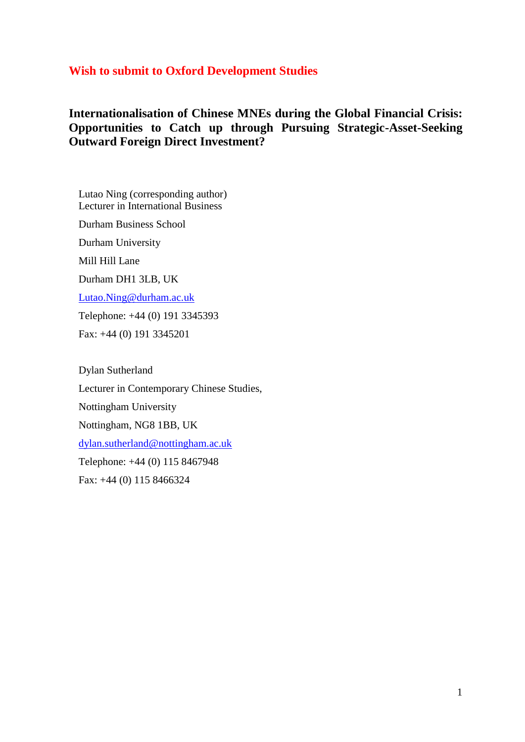## **Wish to submit to Oxford Development Studies**

## **Internationalisation of Chinese MNEs during the Global Financial Crisis: Opportunities to Catch up through Pursuing Strategic-Asset-Seeking Outward Foreign Direct Investment?**

Lutao Ning (corresponding author) Lecturer in International Business

Durham Business School

Durham University

Mill Hill Lane

Durham DH1 3LB, UK

[Lutao.Ning@durham.ac.uk](mailto:Lutao.Ning@durham.ac.uk)

Telephone: +44 (0) 191 3345393

Fax: +44 (0) 191 3345201

Dylan Sutherland

Lecturer in Contemporary Chinese Studies,

Nottingham University

Nottingham, NG8 1BB, UK

[dylan.sutherland@nottingham.ac.uk](mailto:dylan.sutherland@nottingham.ac.uk)

Telephone: +44 (0) 115 8467948

Fax: +44 (0) 115 8466324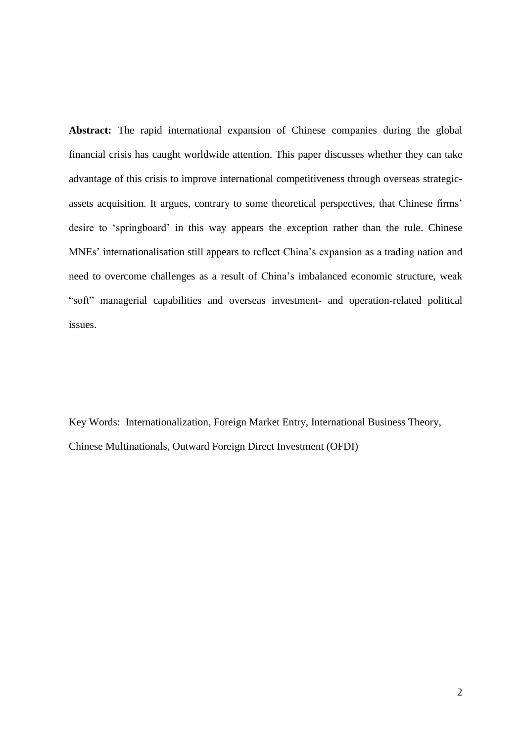**Abstract:** The rapid international expansion of Chinese companies during the global financial crisis has caught worldwide attention. This paper discusses whether they can take advantage of this crisis to improve international competitiveness through overseas strategicassets acquisition. It argues, contrary to some theoretical perspectives, that Chinese firms" desire to "springboard" in this way appears the exception rather than the rule. Chinese MNEs' internationalisation still appears to reflect China's expansion as a trading nation and need to overcome challenges as a result of China"s imbalanced economic structure, weak "soft" managerial capabilities and overseas investment- and operation-related political issues.

Key Words: Internationalization, Foreign Market Entry, International Business Theory, Chinese Multinationals, Outward Foreign Direct Investment (OFDI)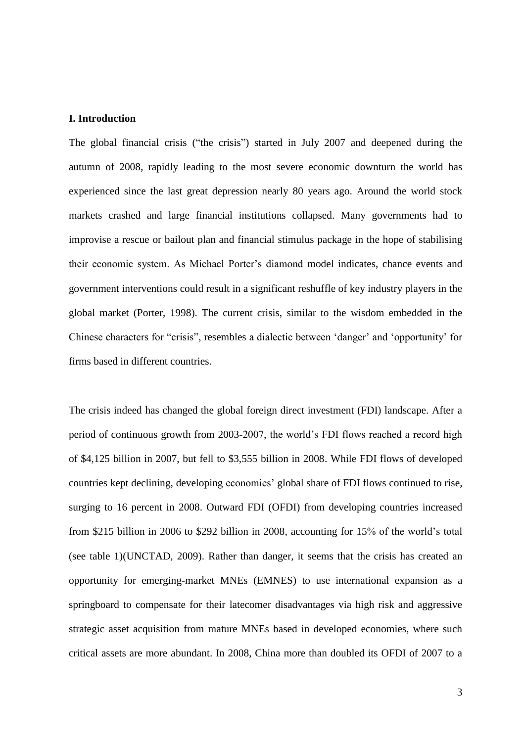#### **I. Introduction**

The global financial crisis ("the crisis") started in July 2007 and deepened during the autumn of 2008, rapidly leading to the most severe economic downturn the world has experienced since the last great depression nearly 80 years ago. Around the world stock markets crashed and large financial institutions collapsed. Many governments had to improvise a rescue or bailout plan and financial stimulus package in the hope of stabilising their economic system. As Michael Porter"s diamond model indicates, chance events and government interventions could result in a significant reshuffle of key industry players in the global market (Porter, 1998). The current crisis, similar to the wisdom embedded in the Chinese characters for "crisis", resembles a dialectic between "danger" and "opportunity" for firms based in different countries.

The crisis indeed has changed the global foreign direct investment (FDI) landscape. After a period of continuous growth from 2003-2007, the world"s FDI flows reached a record high of \$4,125 billion in 2007, but fell to \$3,555 billion in 2008. While FDI flows of developed countries kept declining, developing economies" global share of FDI flows continued to rise, surging to 16 percent in 2008. Outward FDI (OFDI) from developing countries increased from \$215 billion in 2006 to \$292 billion in 2008, accounting for 15% of the world"s total (see table 1)(UNCTAD, 2009). Rather than danger, it seems that the crisis has created an opportunity for emerging-market MNEs (EMNES) to use international expansion as a springboard to compensate for their latecomer disadvantages via high risk and aggressive strategic asset acquisition from mature MNEs based in developed economies, where such critical assets are more abundant. In 2008, China more than doubled its OFDI of 2007 to a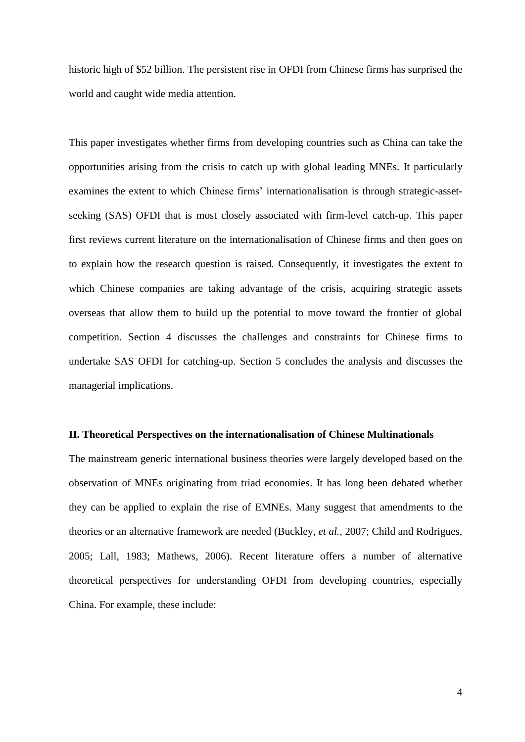historic high of \$52 billion. The persistent rise in OFDI from Chinese firms has surprised the world and caught wide media attention.

This paper investigates whether firms from developing countries such as China can take the opportunities arising from the crisis to catch up with global leading MNEs. It particularly examines the extent to which Chinese firms' internationalisation is through strategic-assetseeking (SAS) OFDI that is most closely associated with firm-level catch-up. This paper first reviews current literature on the internationalisation of Chinese firms and then goes on to explain how the research question is raised. Consequently, it investigates the extent to which Chinese companies are taking advantage of the crisis, acquiring strategic assets overseas that allow them to build up the potential to move toward the frontier of global competition. Section 4 discusses the challenges and constraints for Chinese firms to undertake SAS OFDI for catching-up. Section 5 concludes the analysis and discusses the managerial implications.

### **II. Theoretical Perspectives on the internationalisation of Chinese Multinationals**

The mainstream generic international business theories were largely developed based on the observation of MNEs originating from triad economies. It has long been debated whether they can be applied to explain the rise of EMNEs. Many suggest that amendments to the theories or an alternative framework are needed (Buckley*, et al.*, 2007; Child and Rodrigues, 2005; Lall, 1983; Mathews, 2006). Recent literature offers a number of alternative theoretical perspectives for understanding OFDI from developing countries, especially China. For example, these include: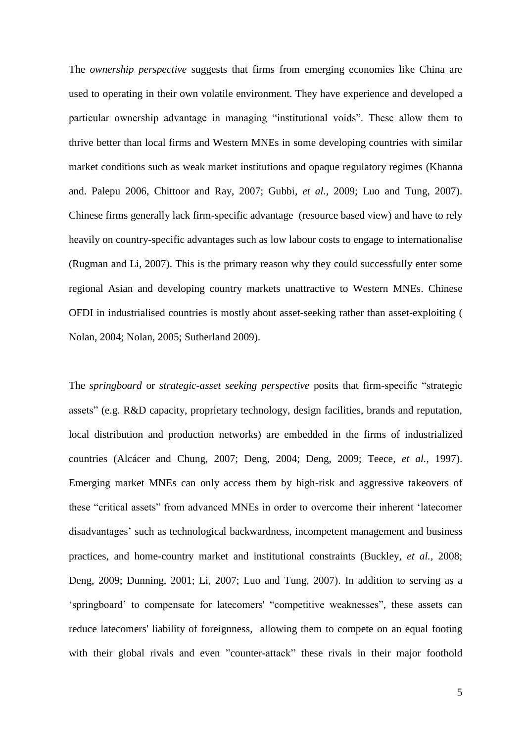The *ownership perspective* suggests that firms from emerging economies like China are used to operating in their own volatile environment. They have experience and developed a particular ownership advantage in managing "institutional voids". These allow them to thrive better than local firms and Western MNEs in some developing countries with similar market conditions such as weak market institutions and opaque regulatory regimes (Khanna and. Palepu 2006, Chittoor and Ray, 2007; Gubbi*, et al.*, 2009; Luo and Tung, 2007). Chinese firms generally lack firm-specific advantage (resource based view) and have to rely heavily on country-specific advantages such as low labour costs to engage to internationalise (Rugman and Li, 2007). This is the primary reason why they could successfully enter some regional Asian and developing country markets unattractive to Western MNEs. Chinese OFDI in industrialised countries is mostly about asset-seeking rather than asset-exploiting ( Nolan, 2004; Nolan, 2005; Sutherland 2009).

The *springboard* or *strategic-asset seeking perspective* posits that firm-specific "strategic assets" (e.g. R&D capacity, proprietary technology, design facilities, brands and reputation, local distribution and production networks) are embedded in the firms of industrialized countries (Alcácer and Chung, 2007; Deng, 2004; Deng, 2009; Teece*, et al.*, 1997). Emerging market MNEs can only access them by high-risk and aggressive takeovers of these "critical assets" from advanced MNEs in order to overcome their inherent "latecomer disadvantages' such as technological backwardness, incompetent management and business practices, and home-country market and institutional constraints (Buckley*, et al.*, 2008; Deng, 2009; Dunning, 2001; Li, 2007; Luo and Tung, 2007). In addition to serving as a "springboard" to compensate for latecomers' "competitive weaknesses", these assets can reduce latecomers' liability of foreignness, allowing them to compete on an equal footing with their global rivals and even "counter-attack" these rivals in their major foothold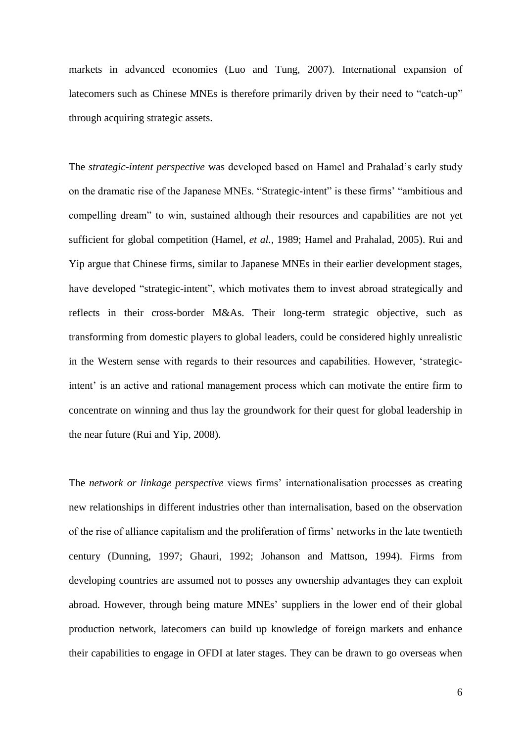markets in advanced economies (Luo and Tung, 2007). International expansion of latecomers such as Chinese MNEs is therefore primarily driven by their need to "catch-up" through acquiring strategic assets.

The *strategic-intent perspective* was developed based on Hamel and Prahalad"s early study on the dramatic rise of the Japanese MNEs. "Strategic-intent" is these firms' "ambitious and compelling dream" to win, sustained although their resources and capabilities are not yet sufficient for global competition (Hamel*, et al.*, 1989; Hamel and Prahalad, 2005). Rui and Yip argue that Chinese firms, similar to Japanese MNEs in their earlier development stages, have developed "strategic-intent", which motivates them to invest abroad strategically and reflects in their cross-border M&As. Their long-term strategic objective, such as transforming from domestic players to global leaders, could be considered highly unrealistic in the Western sense with regards to their resources and capabilities. However, "strategicintent' is an active and rational management process which can motivate the entire firm to concentrate on winning and thus lay the groundwork for their quest for global leadership in the near future (Rui and Yip, 2008).

The *network or linkage perspective* views firms" internationalisation processes as creating new relationships in different industries other than internalisation, based on the observation of the rise of alliance capitalism and the proliferation of firms" networks in the late twentieth century (Dunning, 1997; Ghauri, 1992; Johanson and Mattson, 1994). Firms from developing countries are assumed not to posses any ownership advantages they can exploit abroad. However, through being mature MNEs" suppliers in the lower end of their global production network, latecomers can build up knowledge of foreign markets and enhance their capabilities to engage in OFDI at later stages. They can be drawn to go overseas when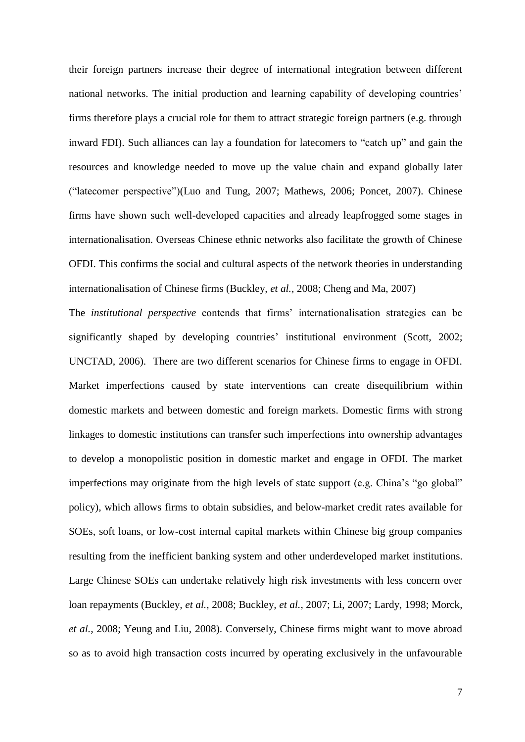their foreign partners increase their degree of international integration between different national networks. The initial production and learning capability of developing countries' firms therefore plays a crucial role for them to attract strategic foreign partners (e.g. through inward FDI). Such alliances can lay a foundation for latecomers to "catch up" and gain the resources and knowledge needed to move up the value chain and expand globally later ("latecomer perspective")(Luo and Tung, 2007; Mathews, 2006; Poncet, 2007). Chinese firms have shown such well-developed capacities and already leapfrogged some stages in internationalisation. Overseas Chinese ethnic networks also facilitate the growth of Chinese OFDI. This confirms the social and cultural aspects of the network theories in understanding internationalisation of Chinese firms (Buckley*, et al.*, 2008; Cheng and Ma, 2007)

The *institutional perspective* contends that firms" internationalisation strategies can be significantly shaped by developing countries' institutional environment (Scott, 2002; UNCTAD, 2006). There are two different scenarios for Chinese firms to engage in OFDI. Market imperfections caused by state interventions can create disequilibrium within domestic markets and between domestic and foreign markets. Domestic firms with strong linkages to domestic institutions can transfer such imperfections into ownership advantages to develop a monopolistic position in domestic market and engage in OFDI. The market imperfections may originate from the high levels of state support (e.g. China's "go global" policy), which allows firms to obtain subsidies, and below-market credit rates available for SOEs, soft loans, or low-cost internal capital markets within Chinese big group companies resulting from the inefficient banking system and other underdeveloped market institutions. Large Chinese SOEs can undertake relatively high risk investments with less concern over loan repayments (Buckley*, et al.*, 2008; Buckley*, et al.*, 2007; Li, 2007; Lardy, 1998; Morck*, et al.*, 2008; Yeung and Liu, 2008). Conversely, Chinese firms might want to move abroad so as to avoid high transaction costs incurred by operating exclusively in the unfavourable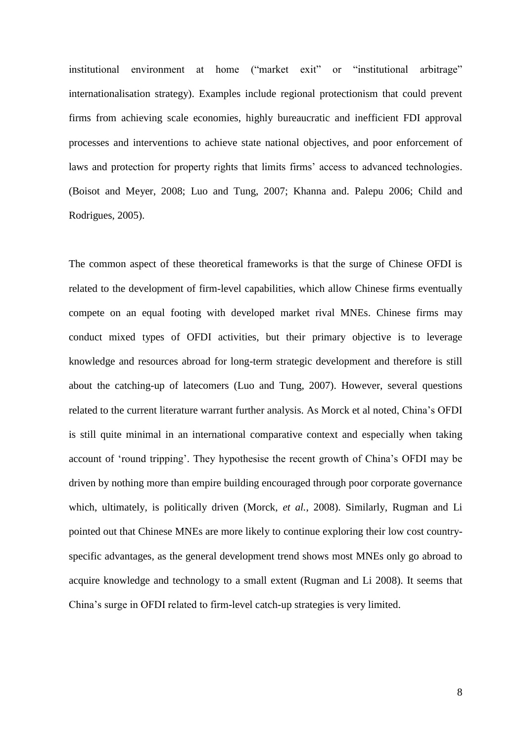institutional environment at home ("market exit" or "institutional arbitrage" internationalisation strategy). Examples include regional protectionism that could prevent firms from achieving scale economies, highly bureaucratic and inefficient FDI approval processes and interventions to achieve state national objectives, and poor enforcement of laws and protection for property rights that limits firms' access to advanced technologies. (Boisot and Meyer, 2008; Luo and Tung, 2007; Khanna and. Palepu 2006; Child and Rodrigues, 2005).

The common aspect of these theoretical frameworks is that the surge of Chinese OFDI is related to the development of firm-level capabilities, which allow Chinese firms eventually compete on an equal footing with developed market rival MNEs. Chinese firms may conduct mixed types of OFDI activities, but their primary objective is to leverage knowledge and resources abroad for long-term strategic development and therefore is still about the catching-up of latecomers (Luo and Tung, 2007). However, several questions related to the current literature warrant further analysis. As Morck et al noted, China"s OFDI is still quite minimal in an international comparative context and especially when taking account of "round tripping". They hypothesise the recent growth of China"s OFDI may be driven by nothing more than empire building encouraged through poor corporate governance which, ultimately, is politically driven (Morck*, et al.*, 2008). Similarly, Rugman and Li pointed out that Chinese MNEs are more likely to continue exploring their low cost countryspecific advantages, as the general development trend shows most MNEs only go abroad to acquire knowledge and technology to a small extent (Rugman and Li 2008). It seems that China"s surge in OFDI related to firm-level catch-up strategies is very limited.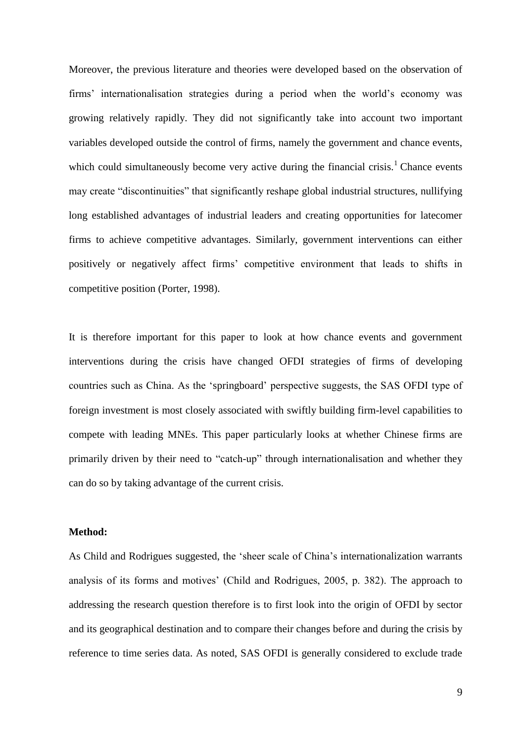Moreover, the previous literature and theories were developed based on the observation of firms" internationalisation strategies during a period when the world"s economy was growing relatively rapidly. They did not significantly take into account two important variables developed outside the control of firms, namely the government and chance events, which could simultaneously become very active during the financial crisis.<sup>1</sup> Chance events may create "discontinuities" that significantly reshape global industrial structures, nullifying long established advantages of industrial leaders and creating opportunities for latecomer firms to achieve competitive advantages. Similarly, government interventions can either positively or negatively affect firms" competitive environment that leads to shifts in competitive position (Porter, 1998).

It is therefore important for this paper to look at how chance events and government interventions during the crisis have changed OFDI strategies of firms of developing countries such as China. As the "springboard" perspective suggests, the SAS OFDI type of foreign investment is most closely associated with swiftly building firm-level capabilities to compete with leading MNEs. This paper particularly looks at whether Chinese firms are primarily driven by their need to "catch-up" through internationalisation and whether they can do so by taking advantage of the current crisis.

### **Method:**

As Child and Rodrigues suggested, the "sheer scale of China"s internationalization warrants analysis of its forms and motives" (Child and Rodrigues, 2005, p. 382). The approach to addressing the research question therefore is to first look into the origin of OFDI by sector and its geographical destination and to compare their changes before and during the crisis by reference to time series data. As noted, SAS OFDI is generally considered to exclude trade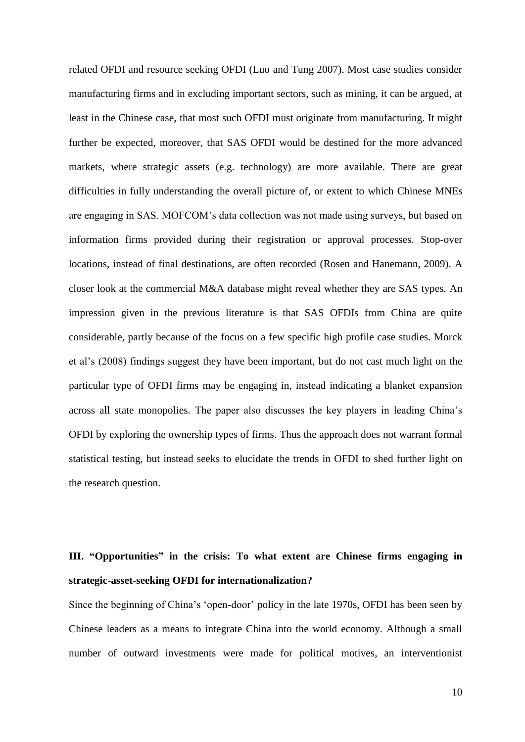related OFDI and resource seeking OFDI (Luo and Tung 2007). Most case studies consider manufacturing firms and in excluding important sectors, such as mining, it can be argued, at least in the Chinese case, that most such OFDI must originate from manufacturing. It might further be expected, moreover, that SAS OFDI would be destined for the more advanced markets, where strategic assets (e.g. technology) are more available. There are great difficulties in fully understanding the overall picture of, or extent to which Chinese MNEs are engaging in SAS. MOFCOM"s data collection was not made using surveys, but based on information firms provided during their registration or approval processes. Stop-over locations, instead of final destinations, are often recorded (Rosen and Hanemann, 2009). A closer look at the commercial M&A database might reveal whether they are SAS types. An impression given in the previous literature is that SAS OFDIs from China are quite considerable, partly because of the focus on a few specific high profile case studies. Morck et al"s (2008) findings suggest they have been important, but do not cast much light on the particular type of OFDI firms may be engaging in, instead indicating a blanket expansion across all state monopolies. The paper also discusses the key players in leading China"s OFDI by exploring the ownership types of firms. Thus the approach does not warrant formal statistical testing, but instead seeks to elucidate the trends in OFDI to shed further light on the research question.

# **III. "Opportunities" in the crisis: To what extent are Chinese firms engaging in strategic-asset-seeking OFDI for internationalization?**

Since the beginning of China"s "open-door" policy in the late 1970s, OFDI has been seen by Chinese leaders as a means to integrate China into the world economy. Although a small number of outward investments were made for political motives, an interventionist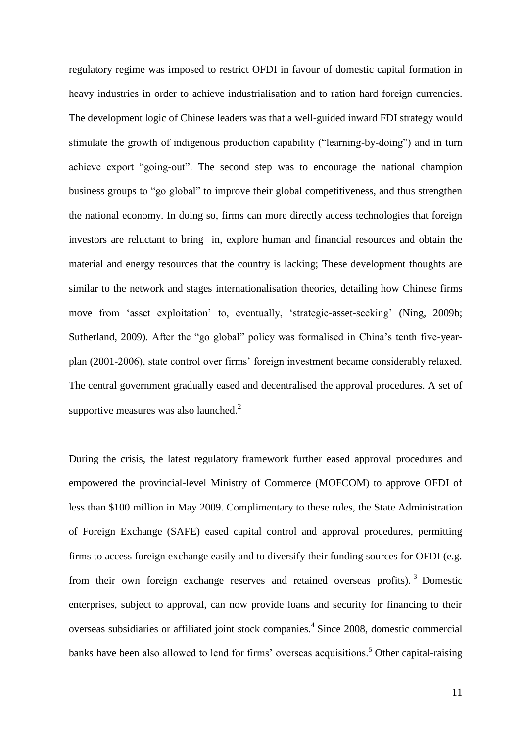regulatory regime was imposed to restrict OFDI in favour of domestic capital formation in heavy industries in order to achieve industrialisation and to ration hard foreign currencies. The development logic of Chinese leaders was that a well-guided inward FDI strategy would stimulate the growth of indigenous production capability ("learning-by-doing") and in turn achieve export "going-out". The second step was to encourage the national champion business groups to "go global" to improve their global competitiveness, and thus strengthen the national economy. In doing so, firms can more directly access technologies that foreign investors are reluctant to bring in, explore human and financial resources and obtain the material and energy resources that the country is lacking; These development thoughts are similar to the network and stages internationalisation theories, detailing how Chinese firms move from 'asset exploitation' to, eventually, 'strategic-asset-seeking' (Ning, 2009b; Sutherland, 2009). After the "go global" policy was formalised in China's tenth five-yearplan (2001-2006), state control over firms" foreign investment became considerably relaxed. The central government gradually eased and decentralised the approval procedures. A set of supportive measures was also launched. $2$ 

During the crisis, the latest regulatory framework further eased approval procedures and empowered the provincial-level Ministry of Commerce (MOFCOM) to approve OFDI of less than \$100 million in May 2009. Complimentary to these rules, the State Administration of Foreign Exchange (SAFE) eased capital control and approval procedures, permitting firms to access foreign exchange easily and to diversify their funding sources for OFDI (e.g. from their own foreign exchange reserves and retained overseas profits). <sup>3</sup> Domestic enterprises, subject to approval, can now provide loans and security for financing to their overseas subsidiaries or affiliated joint stock companies.<sup>4</sup> Since 2008, domestic commercial banks have been also allowed to lend for firms' overseas acquisitions.<sup>5</sup> Other capital-raising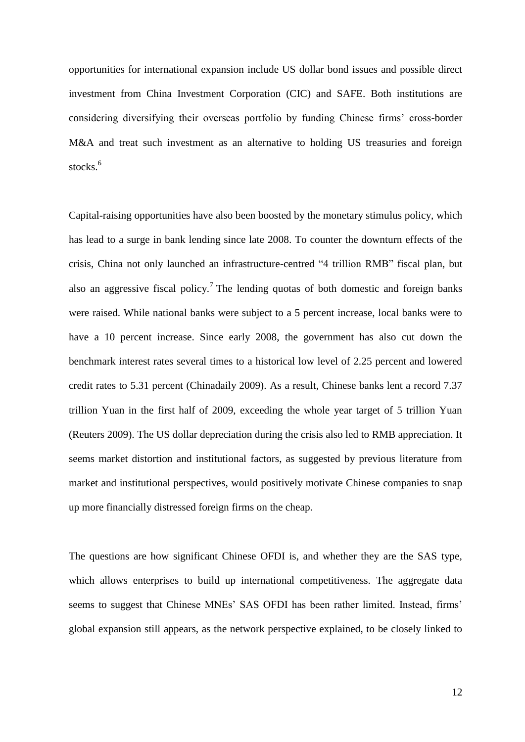opportunities for international expansion include US dollar bond issues and possible direct investment from China Investment Corporation (CIC) and SAFE. Both institutions are considering diversifying their overseas portfolio by funding Chinese firms" cross-border M&A and treat such investment as an alternative to holding US treasuries and foreign stocks.<sup>6</sup>

Capital-raising opportunities have also been boosted by the monetary stimulus policy, which has lead to a surge in bank lending since late 2008. To counter the downturn effects of the crisis, China not only launched an infrastructure-centred "4 trillion RMB" fiscal plan, but also an aggressive fiscal policy.<sup>7</sup> The lending quotas of both domestic and foreign banks were raised. While national banks were subject to a 5 percent increase, local banks were to have a 10 percent increase. Since early 2008, the government has also cut down the benchmark interest rates several times to a historical low level of 2.25 percent and lowered credit rates to 5.31 percent (Chinadaily 2009). As a result, Chinese banks lent a record 7.37 trillion Yuan in the first half of 2009, exceeding the whole year target of 5 trillion Yuan (Reuters 2009). The US dollar depreciation during the crisis also led to RMB appreciation. It seems market distortion and institutional factors, as suggested by previous literature from market and institutional perspectives, would positively motivate Chinese companies to snap up more financially distressed foreign firms on the cheap.

The questions are how significant Chinese OFDI is, and whether they are the SAS type, which allows enterprises to build up international competitiveness. The aggregate data seems to suggest that Chinese MNEs' SAS OFDI has been rather limited. Instead, firms' global expansion still appears, as the network perspective explained, to be closely linked to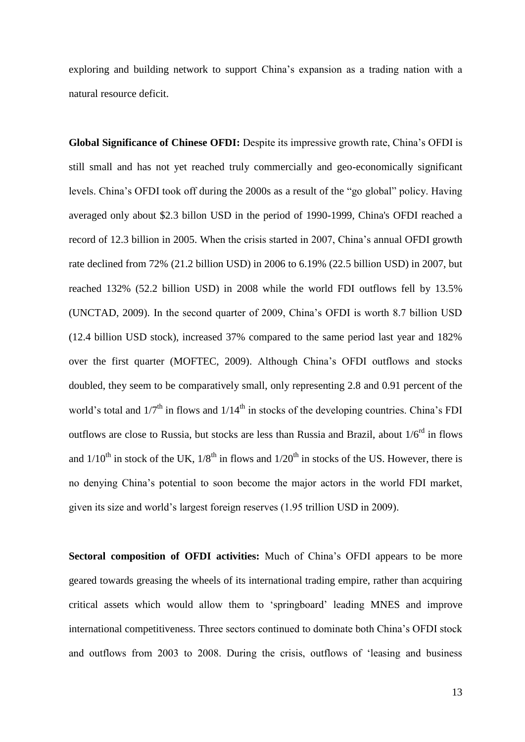exploring and building network to support China"s expansion as a trading nation with a natural resource deficit.

**Global Significance of Chinese OFDI:** Despite its impressive growth rate, China"s OFDI is still small and has not yet reached truly commercially and geo-economically significant levels. China"s OFDI took off during the 2000s as a result of the "go global" policy. Having averaged only about \$2.3 billon USD in the period of 1990-1999, China's OFDI reached a record of 12.3 billion in 2005. When the crisis started in 2007, China"s annual OFDI growth rate declined from 72% (21.2 billion USD) in 2006 to 6.19% (22.5 billion USD) in 2007, but reached 132% (52.2 billion USD) in 2008 while the world FDI outflows fell by 13.5% (UNCTAD, 2009). In the second quarter of 2009, China"s OFDI is worth 8.7 billion USD (12.4 billion USD stock), increased 37% compared to the same period last year and 182% over the first quarter (MOFTEC, 2009). Although China"s OFDI outflows and stocks doubled, they seem to be comparatively small, only representing 2.8 and 0.91 percent of the world's total and  $1/7<sup>th</sup>$  in flows and  $1/14<sup>th</sup>$  in stocks of the developing countries. China's FDI outflows are close to Russia, but stocks are less than Russia and Brazil, about  $1/6^{rd}$  in flows and  $1/10^{th}$  in stock of the UK,  $1/8^{th}$  in flows and  $1/20^{th}$  in stocks of the US. However, there is no denying China"s potential to soon become the major actors in the world FDI market, given its size and world"s largest foreign reserves (1.95 trillion USD in 2009).

**Sectoral composition of OFDI activities:** Much of China"s OFDI appears to be more geared towards greasing the wheels of its international trading empire, rather than acquiring critical assets which would allow them to "springboard" leading MNES and improve international competitiveness. Three sectors continued to dominate both China"s OFDI stock and outflows from 2003 to 2008. During the crisis, outflows of "leasing and business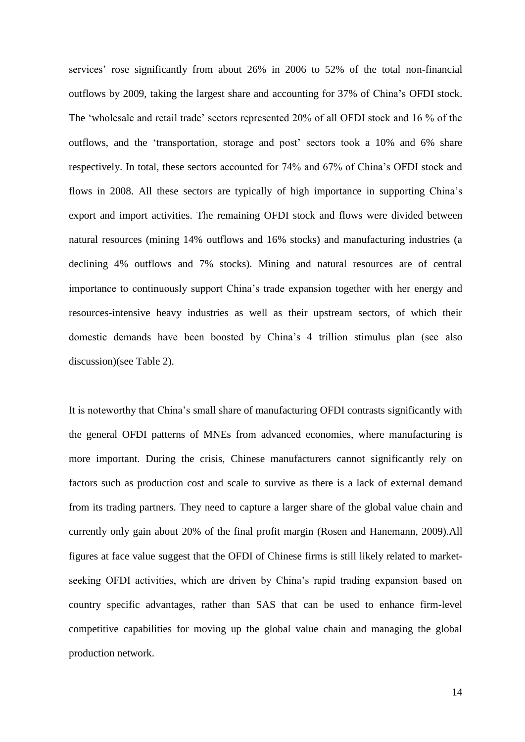services' rose significantly from about 26% in 2006 to 52% of the total non-financial outflows by 2009, taking the largest share and accounting for 37% of China"s OFDI stock. The "wholesale and retail trade" sectors represented 20% of all OFDI stock and 16 % of the outflows, and the 'transportation, storage and post' sectors took a 10% and 6% share respectively. In total, these sectors accounted for 74% and 67% of China"s OFDI stock and flows in 2008. All these sectors are typically of high importance in supporting China"s export and import activities. The remaining OFDI stock and flows were divided between natural resources (mining 14% outflows and 16% stocks) and manufacturing industries (a declining 4% outflows and 7% stocks). Mining and natural resources are of central importance to continuously support China"s trade expansion together with her energy and resources-intensive heavy industries as well as their upstream sectors, of which their domestic demands have been boosted by China"s 4 trillion stimulus plan (see also discussion)(see Table 2).

It is noteworthy that China"s small share of manufacturing OFDI contrasts significantly with the general OFDI patterns of MNEs from advanced economies, where manufacturing is more important. During the crisis, Chinese manufacturers cannot significantly rely on factors such as production cost and scale to survive as there is a lack of external demand from its trading partners. They need to capture a larger share of the global value chain and currently only gain about 20% of the final profit margin (Rosen and Hanemann, 2009).All figures at face value suggest that the OFDI of Chinese firms is still likely related to marketseeking OFDI activities, which are driven by China's rapid trading expansion based on country specific advantages, rather than SAS that can be used to enhance firm-level competitive capabilities for moving up the global value chain and managing the global production network.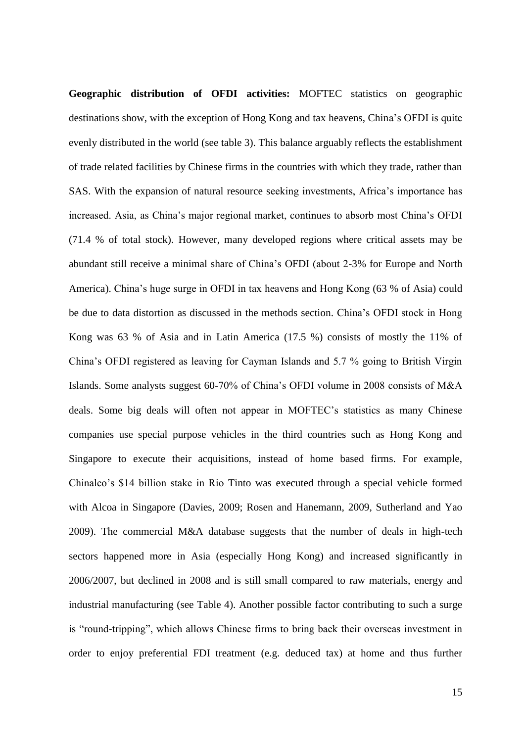**Geographic distribution of OFDI activities:** MOFTEC statistics on geographic destinations show, with the exception of Hong Kong and tax heavens, China"s OFDI is quite evenly distributed in the world (see table 3). This balance arguably reflects the establishment of trade related facilities by Chinese firms in the countries with which they trade, rather than SAS. With the expansion of natural resource seeking investments, Africa"s importance has increased. Asia, as China"s major regional market, continues to absorb most China"s OFDI (71.4 % of total stock). However, many developed regions where critical assets may be abundant still receive a minimal share of China"s OFDI (about 2-3% for Europe and North America). China"s huge surge in OFDI in tax heavens and Hong Kong (63 % of Asia) could be due to data distortion as discussed in the methods section. China"s OFDI stock in Hong Kong was 63 % of Asia and in Latin America (17.5 %) consists of mostly the 11% of China"s OFDI registered as leaving for Cayman Islands and 5.7 % going to British Virgin Islands. Some analysts suggest 60-70% of China"s OFDI volume in 2008 consists of M&A deals. Some big deals will often not appear in MOFTEC"s statistics as many Chinese companies use special purpose vehicles in the third countries such as Hong Kong and Singapore to execute their acquisitions, instead of home based firms. For example, Chinalco"s \$14 billion stake in Rio Tinto was executed through a special vehicle formed with Alcoa in Singapore (Davies, 2009; Rosen and Hanemann, 2009, Sutherland and Yao 2009). The commercial M&A database suggests that the number of deals in high-tech sectors happened more in Asia (especially Hong Kong) and increased significantly in 2006/2007, but declined in 2008 and is still small compared to raw materials, energy and industrial manufacturing (see Table 4). Another possible factor contributing to such a surge is "round-tripping", which allows Chinese firms to bring back their overseas investment in order to enjoy preferential FDI treatment (e.g. deduced tax) at home and thus further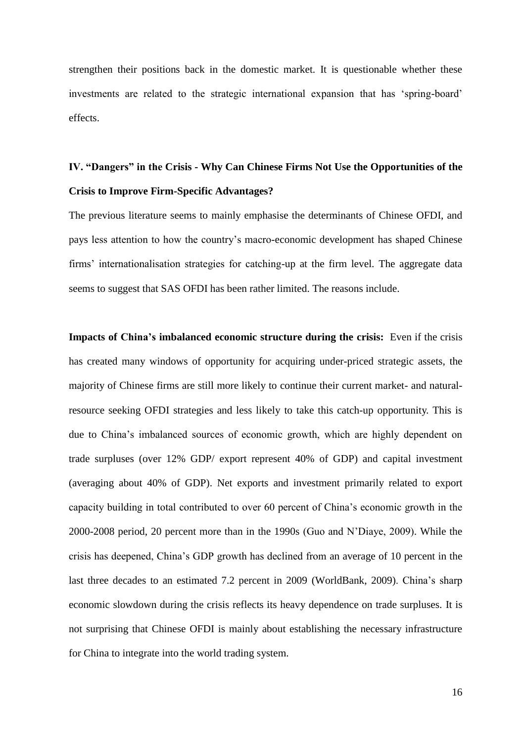strengthen their positions back in the domestic market. It is questionable whether these investments are related to the strategic international expansion that has "spring-board" effects.

## **IV. "Dangers" in the Crisis - Why Can Chinese Firms Not Use the Opportunities of the Crisis to Improve Firm-Specific Advantages?**

The previous literature seems to mainly emphasise the determinants of Chinese OFDI, and pays less attention to how the country"s macro-economic development has shaped Chinese firms' internationalisation strategies for catching-up at the firm level. The aggregate data seems to suggest that SAS OFDI has been rather limited. The reasons include.

**Impacts of China's imbalanced economic structure during the crisis:** Even if the crisis has created many windows of opportunity for acquiring under-priced strategic assets, the majority of Chinese firms are still more likely to continue their current market- and naturalresource seeking OFDI strategies and less likely to take this catch-up opportunity. This is due to China"s imbalanced sources of economic growth, which are highly dependent on trade surpluses (over 12% GDP/ export represent 40% of GDP) and capital investment (averaging about 40% of GDP). Net exports and investment primarily related to export capacity building in total contributed to over 60 percent of China"s economic growth in the 2000-2008 period, 20 percent more than in the 1990s (Guo and N"Diaye, 2009). While the crisis has deepened, China"s GDP growth has declined from an average of 10 percent in the last three decades to an estimated 7.2 percent in 2009 (WorldBank, 2009). China"s sharp economic slowdown during the crisis reflects its heavy dependence on trade surpluses. It is not surprising that Chinese OFDI is mainly about establishing the necessary infrastructure for China to integrate into the world trading system.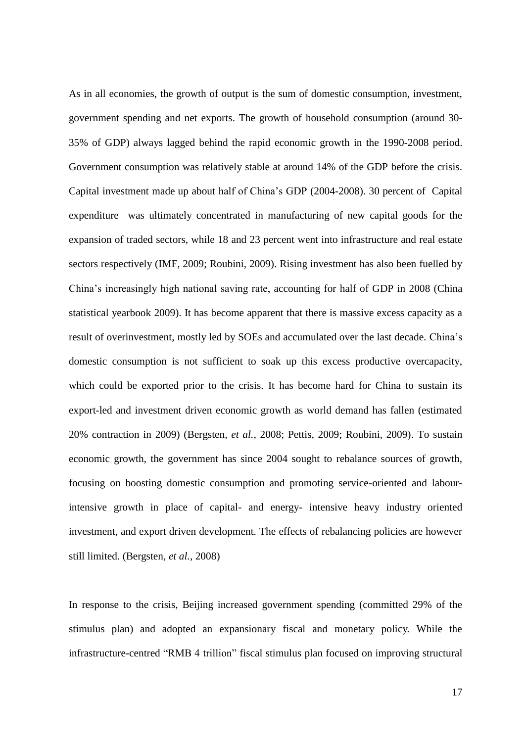As in all economies, the growth of output is the sum of domestic consumption, investment, government spending and net exports. The growth of household consumption (around 30- 35% of GDP) always lagged behind the rapid economic growth in the 1990-2008 period. Government consumption was relatively stable at around 14% of the GDP before the crisis. Capital investment made up about half of China"s GDP (2004-2008). 30 percent of Capital expenditure was ultimately concentrated in manufacturing of new capital goods for the expansion of traded sectors, while 18 and 23 percent went into infrastructure and real estate sectors respectively (IMF, 2009; Roubini, 2009). Rising investment has also been fuelled by China"s increasingly high national saving rate, accounting for half of GDP in 2008 (China statistical yearbook 2009). It has become apparent that there is massive excess capacity as a result of overinvestment, mostly led by SOEs and accumulated over the last decade. China"s domestic consumption is not sufficient to soak up this excess productive overcapacity, which could be exported prior to the crisis. It has become hard for China to sustain its export-led and investment driven economic growth as world demand has fallen (estimated 20% contraction in 2009) (Bergsten*, et al.*, 2008; Pettis, 2009; Roubini, 2009). To sustain economic growth, the government has since 2004 sought to rebalance sources of growth, focusing on boosting domestic consumption and promoting service-oriented and labourintensive growth in place of capital- and energy- intensive heavy industry oriented investment, and export driven development. The effects of rebalancing policies are however still limited. (Bergsten*, et al.*, 2008)

In response to the crisis, Beijing increased government spending (committed 29% of the stimulus plan) and adopted an expansionary fiscal and monetary policy. While the infrastructure-centred "RMB 4 trillion" fiscal stimulus plan focused on improving structural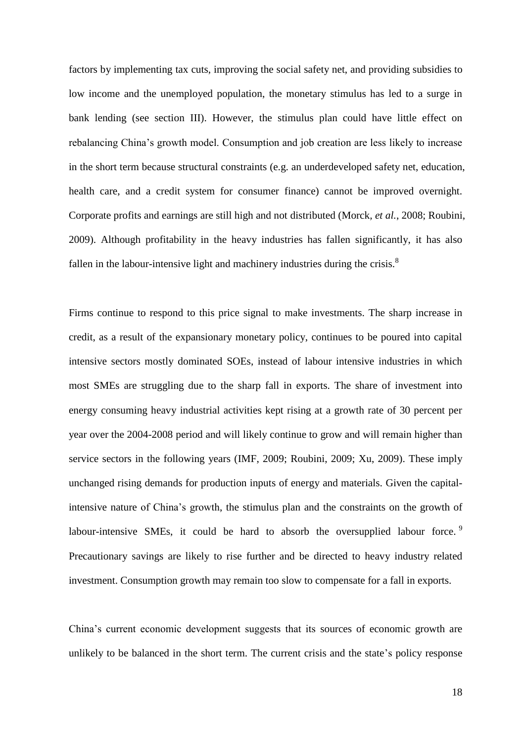factors by implementing tax cuts, improving the social safety net, and providing subsidies to low income and the unemployed population, the monetary stimulus has led to a surge in bank lending (see section III). However, the stimulus plan could have little effect on rebalancing China"s growth model. Consumption and job creation are less likely to increase in the short term because structural constraints (e.g. an underdeveloped safety net, education, health care, and a credit system for consumer finance) cannot be improved overnight. Corporate profits and earnings are still high and not distributed (Morck*, et al.*, 2008; Roubini, 2009). Although profitability in the heavy industries has fallen significantly, it has also fallen in the labour-intensive light and machinery industries during the crisis. $8$ 

Firms continue to respond to this price signal to make investments. The sharp increase in credit, as a result of the expansionary monetary policy, continues to be poured into capital intensive sectors mostly dominated SOEs, instead of labour intensive industries in which most SMEs are struggling due to the sharp fall in exports. The share of investment into energy consuming heavy industrial activities kept rising at a growth rate of 30 percent per year over the 2004-2008 period and will likely continue to grow and will remain higher than service sectors in the following years (IMF, 2009; Roubini, 2009; Xu, 2009). These imply unchanged rising demands for production inputs of energy and materials. Given the capitalintensive nature of China"s growth, the stimulus plan and the constraints on the growth of labour-intensive SMEs, it could be hard to absorb the oversupplied labour force.<sup>9</sup> Precautionary savings are likely to rise further and be directed to heavy industry related investment. Consumption growth may remain too slow to compensate for a fall in exports.

China"s current economic development suggests that its sources of economic growth are unlikely to be balanced in the short term. The current crisis and the state's policy response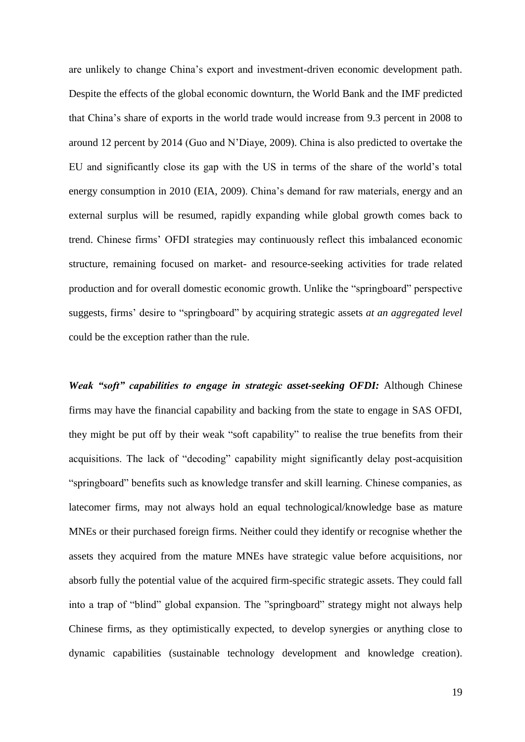are unlikely to change China"s export and investment-driven economic development path. Despite the effects of the global economic downturn, the World Bank and the IMF predicted that China"s share of exports in the world trade would increase from 9.3 percent in 2008 to around 12 percent by 2014 (Guo and N"Diaye, 2009). China is also predicted to overtake the EU and significantly close its gap with the US in terms of the share of the world"s total energy consumption in 2010 (EIA, 2009). China's demand for raw materials, energy and an external surplus will be resumed, rapidly expanding while global growth comes back to trend. Chinese firms" OFDI strategies may continuously reflect this imbalanced economic structure, remaining focused on market- and resource-seeking activities for trade related production and for overall domestic economic growth. Unlike the "springboard" perspective suggests, firms" desire to "springboard" by acquiring strategic assets *at an aggregated level* could be the exception rather than the rule.

*Weak "soft" capabilities to engage in strategic asset-seeking OFDI:* Although Chinese firms may have the financial capability and backing from the state to engage in SAS OFDI, they might be put off by their weak "soft capability" to realise the true benefits from their acquisitions. The lack of "decoding" capability might significantly delay post-acquisition "springboard" benefits such as knowledge transfer and skill learning. Chinese companies, as latecomer firms, may not always hold an equal technological/knowledge base as mature MNEs or their purchased foreign firms. Neither could they identify or recognise whether the assets they acquired from the mature MNEs have strategic value before acquisitions, nor absorb fully the potential value of the acquired firm-specific strategic assets. They could fall into a trap of "blind" global expansion. The "springboard" strategy might not always help Chinese firms, as they optimistically expected, to develop synergies or anything close to dynamic capabilities (sustainable technology development and knowledge creation).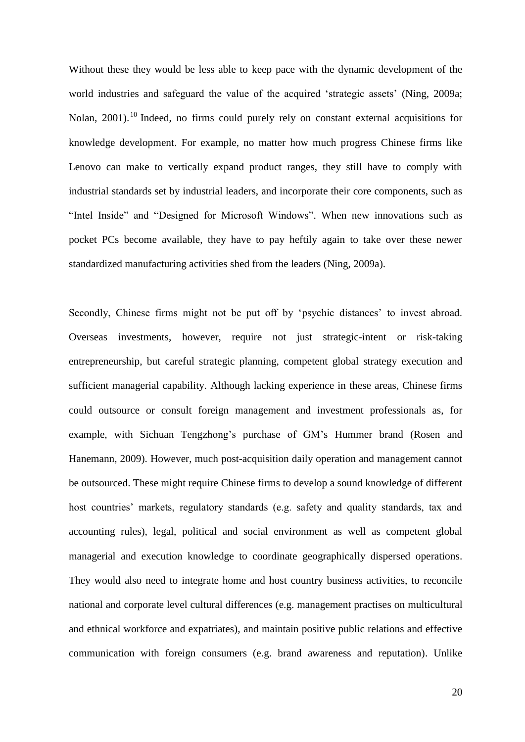Without these they would be less able to keep pace with the dynamic development of the world industries and safeguard the value of the acquired 'strategic assets' (Ning, 2009a; Nolan, 2001).<sup>10</sup> Indeed, no firms could purely rely on constant external acquisitions for knowledge development. For example, no matter how much progress Chinese firms like Lenovo can make to vertically expand product ranges, they still have to comply with industrial standards set by industrial leaders, and incorporate their core components, such as "Intel Inside" and "Designed for Microsoft Windows". When new innovations such as pocket PCs become available, they have to pay heftily again to take over these newer standardized manufacturing activities shed from the leaders (Ning, 2009a).

Secondly, Chinese firms might not be put off by 'psychic distances' to invest abroad. Overseas investments, however, require not just strategic-intent or risk-taking entrepreneurship, but careful strategic planning, competent global strategy execution and sufficient managerial capability. Although lacking experience in these areas, Chinese firms could outsource or consult foreign management and investment professionals as, for example, with Sichuan Tengzhong"s purchase of GM"s Hummer brand (Rosen and Hanemann, 2009). However, much post-acquisition daily operation and management cannot be outsourced. These might require Chinese firms to develop a sound knowledge of different host countries' markets, regulatory standards (e.g. safety and quality standards, tax and accounting rules), legal, political and social environment as well as competent global managerial and execution knowledge to coordinate geographically dispersed operations. They would also need to integrate home and host country business activities, to reconcile national and corporate level cultural differences (e.g. management practises on multicultural and ethnical workforce and expatriates), and maintain positive public relations and effective communication with foreign consumers (e.g. brand awareness and reputation). Unlike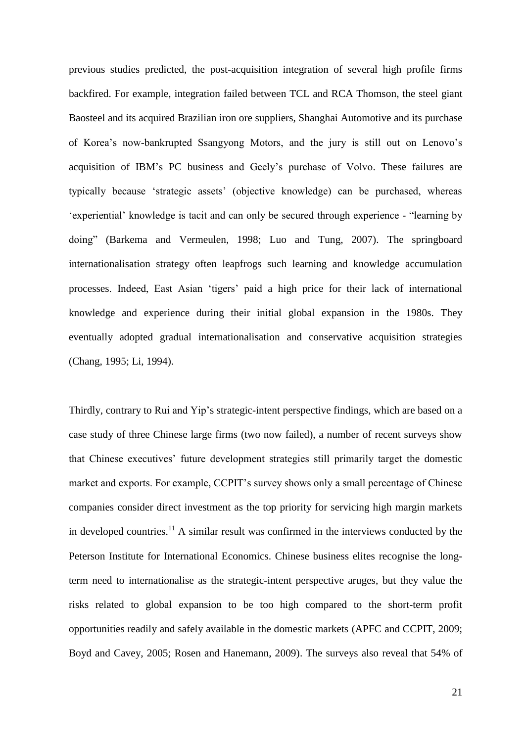previous studies predicted, the post-acquisition integration of several high profile firms backfired. For example, integration failed between TCL and RCA Thomson, the steel giant Baosteel and its acquired Brazilian iron ore suppliers, Shanghai Automotive and its purchase of Korea"s now-bankrupted Ssangyong Motors, and the jury is still out on Lenovo"s acquisition of IBM"s PC business and Geely"s purchase of Volvo. These failures are typically because "strategic assets" (objective knowledge) can be purchased, whereas "experiential" knowledge is tacit and can only be secured through experience - "learning by doing" (Barkema and Vermeulen, 1998; Luo and Tung, 2007). The springboard internationalisation strategy often leapfrogs such learning and knowledge accumulation processes. Indeed, East Asian "tigers" paid a high price for their lack of international knowledge and experience during their initial global expansion in the 1980s. They eventually adopted gradual internationalisation and conservative acquisition strategies (Chang, 1995; Li, 1994).

Thirdly, contrary to Rui and Yip"s strategic-intent perspective findings, which are based on a case study of three Chinese large firms (two now failed), a number of recent surveys show that Chinese executives" future development strategies still primarily target the domestic market and exports. For example, CCPIT"s survey shows only a small percentage of Chinese companies consider direct investment as the top priority for servicing high margin markets in developed countries.<sup>11</sup> A similar result was confirmed in the interviews conducted by the Peterson Institute for International Economics. Chinese business elites recognise the longterm need to internationalise as the strategic-intent perspective aruges, but they value the risks related to global expansion to be too high compared to the short-term profit opportunities readily and safely available in the domestic markets (APFC and CCPIT, 2009; Boyd and Cavey, 2005; Rosen and Hanemann, 2009). The surveys also reveal that 54% of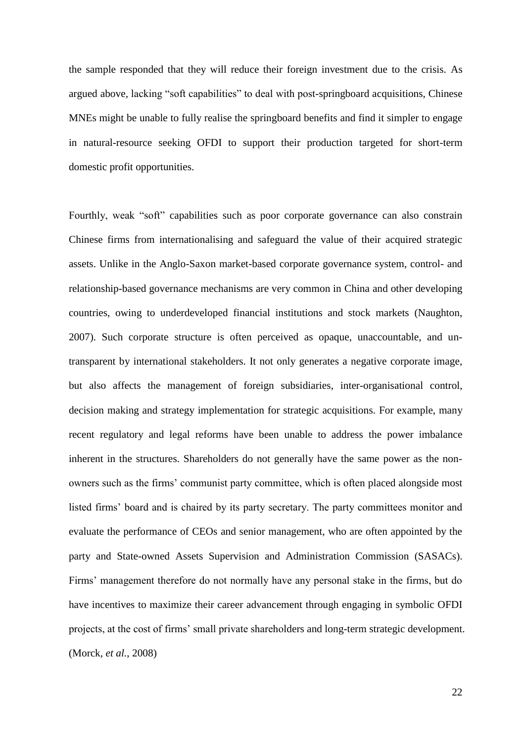the sample responded that they will reduce their foreign investment due to the crisis. As argued above, lacking "soft capabilities" to deal with post-springboard acquisitions, Chinese MNEs might be unable to fully realise the springboard benefits and find it simpler to engage in natural-resource seeking OFDI to support their production targeted for short-term domestic profit opportunities.

Fourthly, weak "soft" capabilities such as poor corporate governance can also constrain Chinese firms from internationalising and safeguard the value of their acquired strategic assets. Unlike in the Anglo-Saxon market-based corporate governance system, control- and relationship-based governance mechanisms are very common in China and other developing countries, owing to underdeveloped financial institutions and stock markets (Naughton, 2007). Such corporate structure is often perceived as opaque, unaccountable, and untransparent by international stakeholders. It not only generates a negative corporate image, but also affects the management of foreign subsidiaries, inter-organisational control, decision making and strategy implementation for strategic acquisitions. For example, many recent regulatory and legal reforms have been unable to address the power imbalance inherent in the structures. Shareholders do not generally have the same power as the nonowners such as the firms" communist party committee, which is often placed alongside most listed firms' board and is chaired by its party secretary. The party committees monitor and evaluate the performance of CEOs and senior management, who are often appointed by the party and State-owned Assets Supervision and Administration Commission (SASACs). Firms" management therefore do not normally have any personal stake in the firms, but do have incentives to maximize their career advancement through engaging in symbolic OFDI projects, at the cost of firms" small private shareholders and long-term strategic development. (Morck*, et al.*, 2008)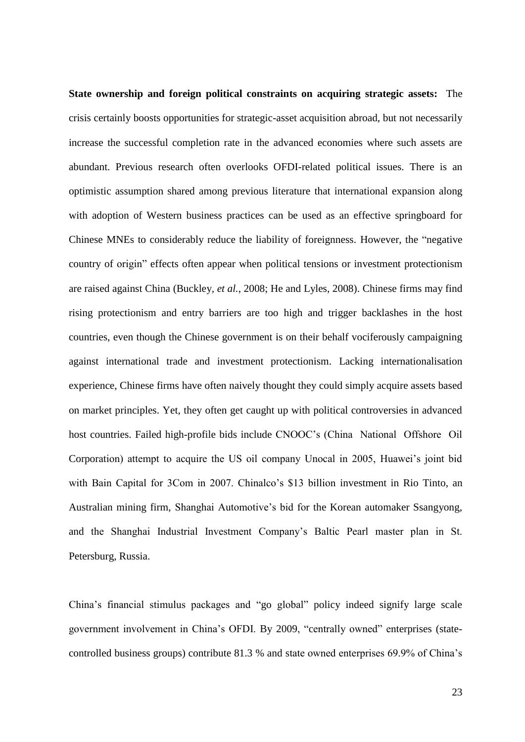**State ownership and foreign political constraints on acquiring strategic assets:** The crisis certainly boosts opportunities for strategic-asset acquisition abroad, but not necessarily increase the successful completion rate in the advanced economies where such assets are abundant. Previous research often overlooks OFDI-related political issues. There is an optimistic assumption shared among previous literature that international expansion along with adoption of Western business practices can be used as an effective springboard for Chinese MNEs to considerably reduce the liability of foreignness. However, the "negative country of origin" effects often appear when political tensions or investment protectionism are raised against China (Buckley*, et al.*, 2008; He and Lyles, 2008). Chinese firms may find rising protectionism and entry barriers are too high and trigger backlashes in the host countries, even though the Chinese government is on their behalf vociferously campaigning against international trade and investment protectionism. Lacking internationalisation experience, Chinese firms have often naively thought they could simply acquire assets based on market principles. Yet, they often get caught up with political controversies in advanced host countries. Failed high-profile bids include CNOOC"s (China National Offshore Oil Corporation) attempt to acquire the US oil company Unocal in 2005, Huawei"s joint bid with Bain Capital for 3Com in 2007. Chinalco"s \$13 billion investment in Rio Tinto, an Australian mining firm, Shanghai Automotive"s bid for the Korean automaker Ssangyong, and the Shanghai Industrial Investment Company"s Baltic Pearl master plan in St. Petersburg, Russia.

China"s financial stimulus packages and "go global" policy indeed signify large scale government involvement in China"s OFDI. By 2009, "centrally owned" enterprises (statecontrolled business groups) contribute 81.3 % and state owned enterprises 69.9% of China"s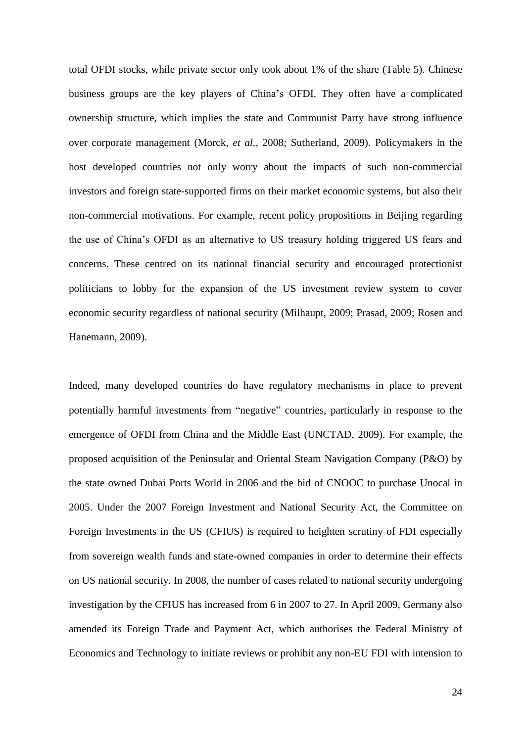total OFDI stocks, while private sector only took about 1% of the share (Table 5). Chinese business groups are the key players of China"s OFDI. They often have a complicated ownership structure, which implies the state and Communist Party have strong influence over corporate management (Morck*, et al.*, 2008; Sutherland, 2009). Policymakers in the host developed countries not only worry about the impacts of such non-commercial investors and foreign state-supported firms on their market economic systems, but also their non-commercial motivations. For example, recent policy propositions in Beijing regarding the use of China"s OFDI as an alternative to US treasury holding triggered US fears and concerns. These centred on its national financial security and encouraged protectionist politicians to lobby for the expansion of the US investment review system to cover economic security regardless of national security (Milhaupt, 2009; Prasad, 2009; Rosen and Hanemann, 2009).

Indeed, many developed countries do have regulatory mechanisms in place to prevent potentially harmful investments from "negative" countries, particularly in response to the emergence of OFDI from China and the Middle East (UNCTAD, 2009). For example, the proposed acquisition of the Peninsular and Oriental Steam Navigation Company (P&O) by the state owned Dubai Ports World in 2006 and the bid of CNOOC to purchase Unocal in 2005. Under the 2007 Foreign Investment and National Security Act, the Committee on Foreign Investments in the US (CFIUS) is required to heighten scrutiny of FDI especially from sovereign wealth funds and state-owned companies in order to determine their effects on US national security. In 2008, the number of cases related to national security undergoing investigation by the CFIUS has increased from 6 in 2007 to 27. In April 2009, Germany also amended its Foreign Trade and Payment Act, which authorises the Federal Ministry of Economics and Technology to initiate reviews or prohibit any non-EU FDI with intension to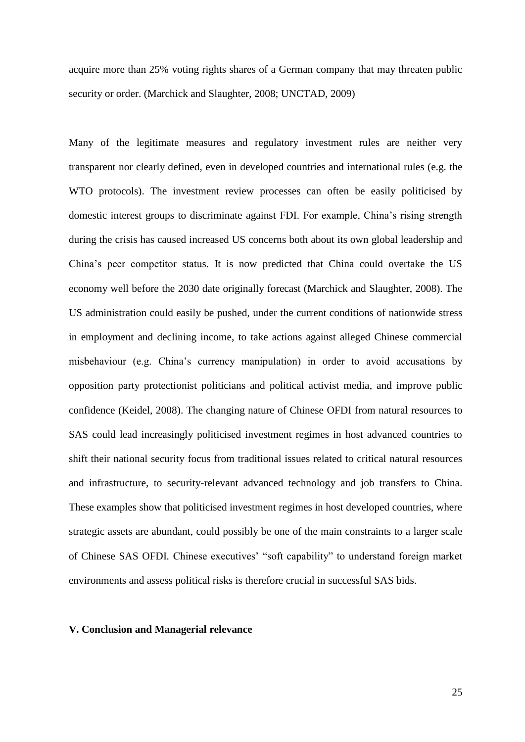acquire more than 25% voting rights shares of a German company that may threaten public security or order. (Marchick and Slaughter, 2008; UNCTAD, 2009)

Many of the legitimate measures and regulatory investment rules are neither very transparent nor clearly defined, even in developed countries and international rules (e.g. the WTO protocols). The investment review processes can often be easily politicised by domestic interest groups to discriminate against FDI. For example, China"s rising strength during the crisis has caused increased US concerns both about its own global leadership and China"s peer competitor status. It is now predicted that China could overtake the US economy well before the 2030 date originally forecast (Marchick and Slaughter, 2008). The US administration could easily be pushed, under the current conditions of nationwide stress in employment and declining income, to take actions against alleged Chinese commercial misbehaviour (e.g. China"s currency manipulation) in order to avoid accusations by opposition party protectionist politicians and political activist media, and improve public confidence (Keidel, 2008). The changing nature of Chinese OFDI from natural resources to SAS could lead increasingly politicised investment regimes in host advanced countries to shift their national security focus from traditional issues related to critical natural resources and infrastructure, to security-relevant advanced technology and job transfers to China. These examples show that politicised investment regimes in host developed countries, where strategic assets are abundant, could possibly be one of the main constraints to a larger scale of Chinese SAS OFDI. Chinese executives" "soft capability" to understand foreign market environments and assess political risks is therefore crucial in successful SAS bids.

### **V. Conclusion and Managerial relevance**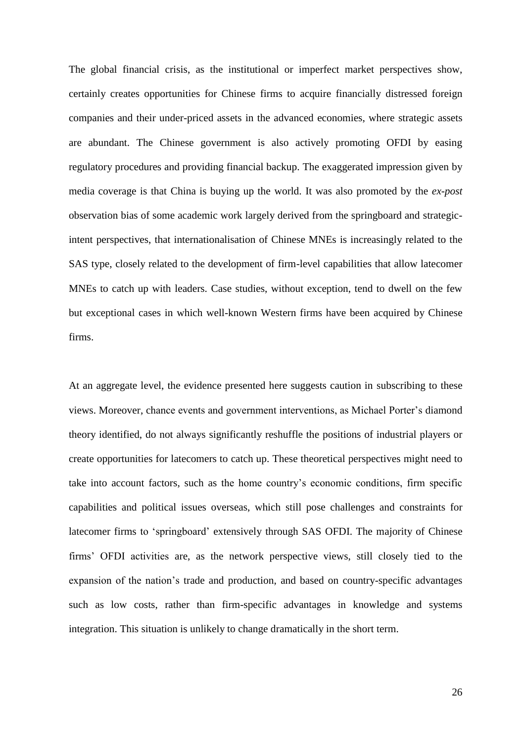The global financial crisis, as the institutional or imperfect market perspectives show, certainly creates opportunities for Chinese firms to acquire financially distressed foreign companies and their under-priced assets in the advanced economies, where strategic assets are abundant. The Chinese government is also actively promoting OFDI by easing regulatory procedures and providing financial backup. The exaggerated impression given by media coverage is that China is buying up the world. It was also promoted by the *ex-post* observation bias of some academic work largely derived from the springboard and strategicintent perspectives, that internationalisation of Chinese MNEs is increasingly related to the SAS type, closely related to the development of firm-level capabilities that allow latecomer MNEs to catch up with leaders. Case studies, without exception, tend to dwell on the few but exceptional cases in which well-known Western firms have been acquired by Chinese firms.

At an aggregate level, the evidence presented here suggests caution in subscribing to these views. Moreover, chance events and government interventions, as Michael Porter"s diamond theory identified, do not always significantly reshuffle the positions of industrial players or create opportunities for latecomers to catch up. These theoretical perspectives might need to take into account factors, such as the home country"s economic conditions, firm specific capabilities and political issues overseas, which still pose challenges and constraints for latecomer firms to "springboard" extensively through SAS OFDI. The majority of Chinese firms" OFDI activities are, as the network perspective views, still closely tied to the expansion of the nation's trade and production, and based on country-specific advantages such as low costs, rather than firm-specific advantages in knowledge and systems integration. This situation is unlikely to change dramatically in the short term.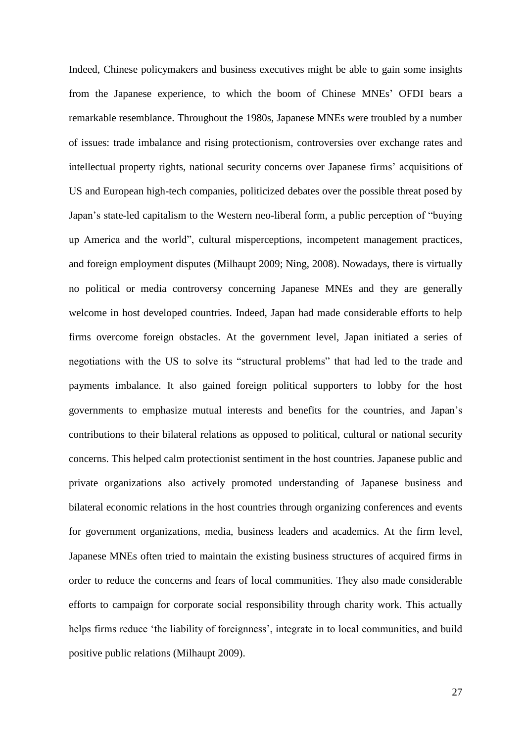Indeed, Chinese policymakers and business executives might be able to gain some insights from the Japanese experience, to which the boom of Chinese MNEs" OFDI bears a remarkable resemblance. Throughout the 1980s, Japanese MNEs were troubled by a number of issues: trade imbalance and rising protectionism, controversies over exchange rates and intellectual property rights, national security concerns over Japanese firms' acquisitions of US and European high-tech companies, politicized debates over the possible threat posed by Japan"s state-led capitalism to the Western neo-liberal form, a public perception of "buying up America and the world", cultural misperceptions, incompetent management practices, and foreign employment disputes (Milhaupt 2009; Ning, 2008). Nowadays, there is virtually no political or media controversy concerning Japanese MNEs and they are generally welcome in host developed countries. Indeed, Japan had made considerable efforts to help firms overcome foreign obstacles. At the government level, Japan initiated a series of negotiations with the US to solve its "structural problems" that had led to the trade and payments imbalance. It also gained foreign political supporters to lobby for the host governments to emphasize mutual interests and benefits for the countries, and Japan"s contributions to their bilateral relations as opposed to political, cultural or national security concerns. This helped calm protectionist sentiment in the host countries. Japanese public and private organizations also actively promoted understanding of Japanese business and bilateral economic relations in the host countries through organizing conferences and events for government organizations, media, business leaders and academics. At the firm level, Japanese MNEs often tried to maintain the existing business structures of acquired firms in order to reduce the concerns and fears of local communities. They also made considerable efforts to campaign for corporate social responsibility through charity work. This actually helps firms reduce 'the liability of foreignness', integrate in to local communities, and build positive public relations (Milhaupt 2009).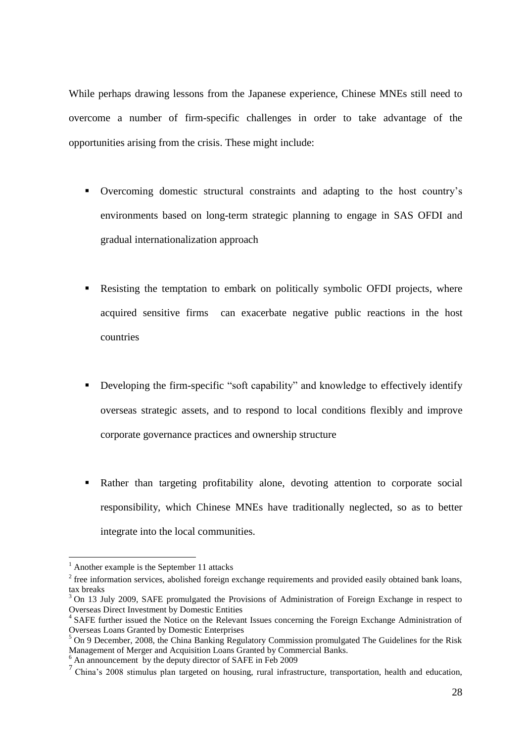While perhaps drawing lessons from the Japanese experience, Chinese MNEs still need to overcome a number of firm-specific challenges in order to take advantage of the opportunities arising from the crisis. These might include:

- Overcoming domestic structural constraints and adapting to the host country"s environments based on long-term strategic planning to engage in SAS OFDI and gradual internationalization approach
- Resisting the temptation to embark on politically symbolic OFDI projects, where acquired sensitive firms can exacerbate negative public reactions in the host countries
- Developing the firm-specific "soft capability" and knowledge to effectively identify overseas strategic assets, and to respond to local conditions flexibly and improve corporate governance practices and ownership structure
- Rather than targeting profitability alone, devoting attention to corporate social responsibility, which Chinese MNEs have traditionally neglected, so as to better integrate into the local communities.

<u>.</u>

 $<sup>1</sup>$  Another example is the September 11 attacks</sup>

 $2^{2}$  free information services, abolished foreign exchange requirements and provided easily obtained bank loans, tax breaks

<sup>&</sup>lt;sup>3</sup> On 13 July 2009, SAFE promulgated the Provisions of Administration of Foreign Exchange in respect to Overseas Direct Investment by Domestic Entities

<sup>&</sup>lt;sup>4</sup> SAFE further issued the Notice on the Relevant Issues concerning the Foreign Exchange Administration of Overseas Loans Granted by Domestic Enterprises

<sup>5</sup> On 9 December, 2008, the China Banking Regulatory Commission promulgated The Guidelines for the Risk Management of Merger and Acquisition Loans Granted by Commercial Banks.

 $6$  An announcement by the deputy director of SAFE in Feb 2009

<sup>&</sup>lt;sup>7</sup> China's 2008 stimulus plan targeted on housing, rural infrastructure, transportation, health and education,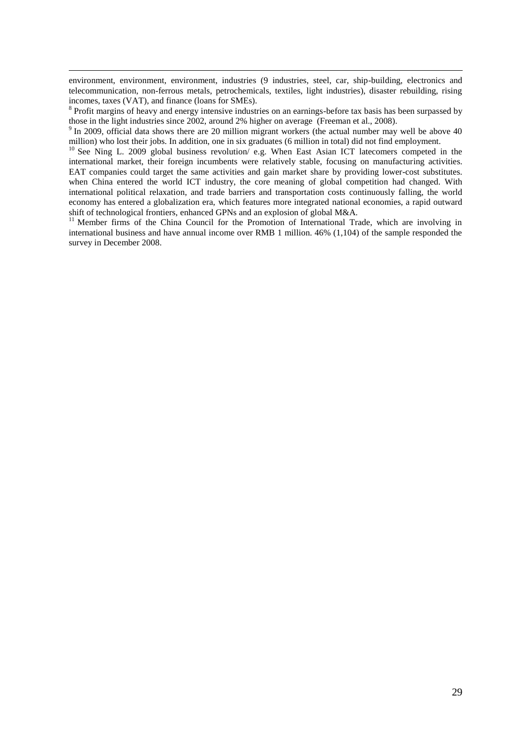environment, environment, environment, industries (9 industries, steel, car, ship-building, electronics and telecommunication, non-ferrous metals, petrochemicals, textiles, light industries), disaster rebuilding, rising incomes, taxes (VAT), and finance (loans for SMEs).

<u>.</u>

<sup>8</sup> Profit margins of heavy and energy intensive industries on an earnings-before tax basis has been surpassed by those in the light industries since 2002, around 2% higher on average (Freeman et al., 2008).

<sup>9</sup> In 2009, official data shows there are 20 million migrant workers (the actual number may well be above 40 million) who lost their jobs. In addition, one in six graduates (6 million in total) did not find employment.

<sup>10</sup> See Ning L. 2009 global business revolution/ e.g. When East Asian ICT latecomers competed in the international market, their foreign incumbents were relatively stable, focusing on manufacturing activities. EAT companies could target the same activities and gain market share by providing lower-cost substitutes. when China entered the world ICT industry, the core meaning of global competition had changed. With international political relaxation, and trade barriers and transportation costs continuously falling, the world economy has entered a globalization era, which features more integrated national economies, a rapid outward shift of technological frontiers, enhanced GPNs and an explosion of global M&A.

<sup>11</sup> Member firms of the China Council for the Promotion of International Trade, which are involving in international business and have annual income over RMB 1 million. 46% (1,104) of the sample responded the survey in December 2008.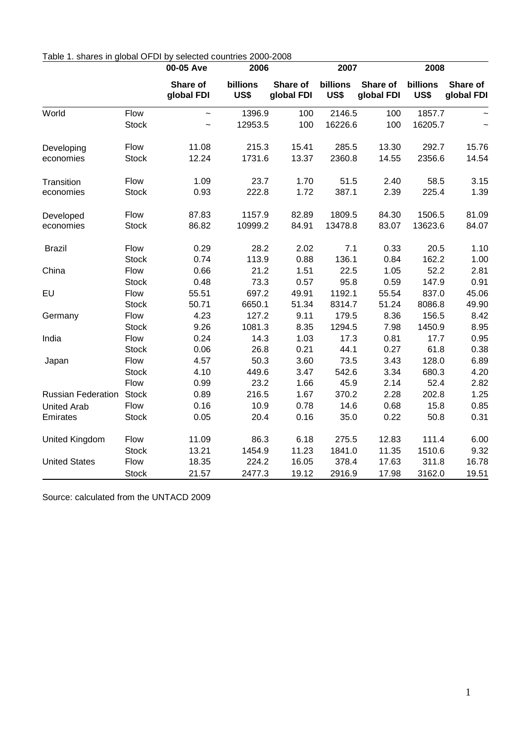|                           |              | 00-05 Ave              | 2006                    |                        | 2007             |                        | 2008                    |                        |  |
|---------------------------|--------------|------------------------|-------------------------|------------------------|------------------|------------------------|-------------------------|------------------------|--|
|                           |              | Share of<br>global FDI | billions<br><b>US\$</b> | Share of<br>global FDI | billions<br>US\$ | Share of<br>global FDI | billions<br><b>US\$</b> | Share of<br>global FDI |  |
| World                     | Flow         | $\tilde{\phantom{a}}$  | 1396.9                  | 100                    | 2146.5           | 100                    | 1857.7                  |                        |  |
|                           | <b>Stock</b> | $\tilde{\phantom{a}}$  | 12953.5                 | 100                    | 16226.6          | 100                    | 16205.7                 | $\tilde{\phantom{0}}$  |  |
| Developing                | Flow         | 11.08                  | 215.3                   | 15.41                  | 285.5            | 13.30                  | 292.7                   | 15.76                  |  |
| economies                 | <b>Stock</b> | 12.24                  | 1731.6                  | 13.37                  | 2360.8           | 14.55                  | 2356.6                  | 14.54                  |  |
| Transition                | Flow         | 1.09                   | 23.7                    | 1.70                   | 51.5             | 2.40                   | 58.5                    | 3.15                   |  |
| economies                 | <b>Stock</b> | 0.93                   | 222.8                   | 1.72                   | 387.1            | 2.39                   | 225.4                   | 1.39                   |  |
| Developed                 | Flow         | 87.83                  | 1157.9                  | 82.89                  | 1809.5           | 84.30                  | 1506.5                  | 81.09                  |  |
| economies                 | <b>Stock</b> | 86.82                  | 10999.2                 | 84.91                  | 13478.8          | 83.07                  | 13623.6                 | 84.07                  |  |
| <b>Brazil</b>             | Flow         | 0.29                   | 28.2                    | 2.02                   | 7.1              | 0.33                   | 20.5                    | 1.10                   |  |
|                           | <b>Stock</b> | 0.74                   | 113.9                   | 0.88                   | 136.1            | 0.84                   | 162.2                   | 1.00                   |  |
| China                     | Flow         | 0.66                   | 21.2                    | 1.51                   | 22.5             | 1.05                   | 52.2                    | 2.81                   |  |
|                           | <b>Stock</b> | 0.48                   | 73.3                    | 0.57                   | 95.8             | 0.59                   | 147.9                   | 0.91                   |  |
| EU                        | Flow         | 55.51                  | 697.2                   | 49.91                  | 1192.1           | 55.54                  | 837.0                   | 45.06                  |  |
|                           | <b>Stock</b> | 50.71                  | 6650.1                  | 51.34                  | 8314.7           | 51.24                  | 8086.8                  | 49.90                  |  |
| Germany                   | Flow         | 4.23                   | 127.2                   | 9.11                   | 179.5            | 8.36                   | 156.5                   | 8.42                   |  |
|                           | <b>Stock</b> | 9.26                   | 1081.3                  | 8.35                   | 1294.5           | 7.98                   | 1450.9                  | 8.95                   |  |
| India                     | Flow         | 0.24                   | 14.3                    | 1.03                   | 17.3             | 0.81                   | 17.7                    | 0.95                   |  |
|                           | <b>Stock</b> | 0.06                   | 26.8                    | 0.21                   | 44.1             | 0.27                   | 61.8                    | 0.38                   |  |
| Japan                     | Flow         | 4.57                   | 50.3                    | 3.60                   | 73.5             | 3.43                   | 128.0                   | 6.89                   |  |
|                           | <b>Stock</b> | 4.10                   | 449.6                   | 3.47                   | 542.6            | 3.34                   | 680.3                   | 4.20                   |  |
|                           | Flow         | 0.99                   | 23.2                    | 1.66                   | 45.9             | 2.14                   | 52.4                    | 2.82                   |  |
| <b>Russian Federation</b> | <b>Stock</b> | 0.89                   | 216.5                   | 1.67                   | 370.2            | 2.28                   | 202.8                   | 1.25                   |  |
| <b>United Arab</b>        | Flow         | 0.16                   | 10.9                    | 0.78                   | 14.6             | 0.68                   | 15.8                    | 0.85                   |  |
| Emirates                  | <b>Stock</b> | 0.05                   | 20.4                    | 0.16                   | 35.0             | 0.22                   | 50.8                    | 0.31                   |  |
| United Kingdom            | Flow         | 11.09                  | 86.3                    | 6.18                   | 275.5            | 12.83                  | 111.4                   | 6.00                   |  |
|                           | <b>Stock</b> | 13.21                  | 1454.9                  | 11.23                  | 1841.0           | 11.35                  | 1510.6                  | 9.32                   |  |
| <b>United States</b>      | Flow         | 18.35                  | 224.2                   | 16.05                  | 378.4            | 17.63                  | 311.8                   | 16.78                  |  |
|                           | <b>Stock</b> | 21.57                  | 2477.3                  | 19.12                  | 2916.9           | 17.98                  | 3162.0                  | 19.51                  |  |

## Table 1. shares in global OFDI by selected countries 2000-2008

Source: calculated from the UNTACD 2009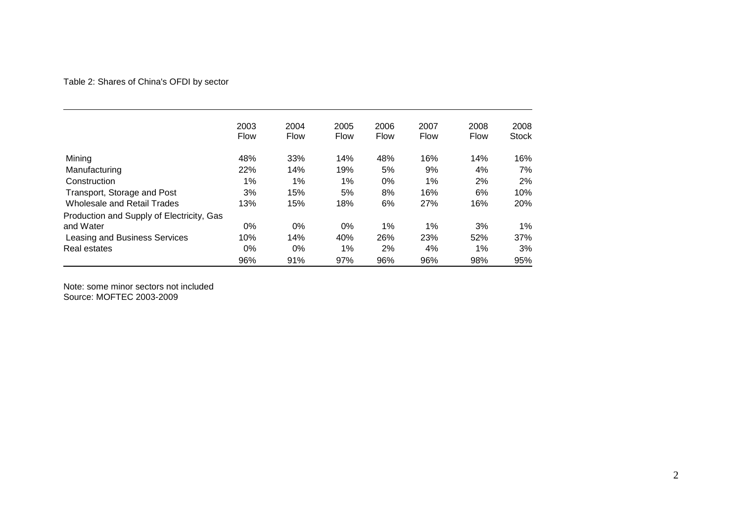## Table 2: Shares of China's OFDI by sector

|                                           | 2003        | 2004        | 2005        | 2006        | 2007        | 2008        | 2008         |
|-------------------------------------------|-------------|-------------|-------------|-------------|-------------|-------------|--------------|
|                                           | <b>Flow</b> | <b>Flow</b> | <b>Flow</b> | <b>Flow</b> | <b>Flow</b> | <b>Flow</b> | <b>Stock</b> |
| Mining                                    | 48%         | 33%         | 14%         | 48%         | 16%         | 14%         | 16%          |
| Manufacturing                             | 22%         | 14%         | 19%         | 5%          | 9%          | 4%          | 7%           |
| Construction                              | $1\%$       | 1%          | 1%          | 0%          | 1%          | 2%          | 2%           |
| Transport, Storage and Post               | 3%          | 15%         | 5%          | 8%          | 16%         | 6%          | 10%          |
| <b>Wholesale and Retail Trades</b>        | 13%         | 15%         | 18%         | 6%          | 27%         | 16%         | 20%          |
| Production and Supply of Electricity, Gas |             |             |             |             |             |             |              |
| and Water                                 | 0%          | 0%          | 0%          | 1%          | $1\%$       | 3%          | 1%           |
| Leasing and Business Services             | 10%         | 14%         | 40%         | 26%         | 23%         | 52%         | 37%          |
| Real estates                              | 0%          | 0%          | 1%          | 2%          | 4%          | 1%          | 3%           |
|                                           | 96%         | 91%         | 97%         | 96%         | 96%         | 98%         | 95%          |

Note: some minor sectors not included Source: MOFTEC 2003-2009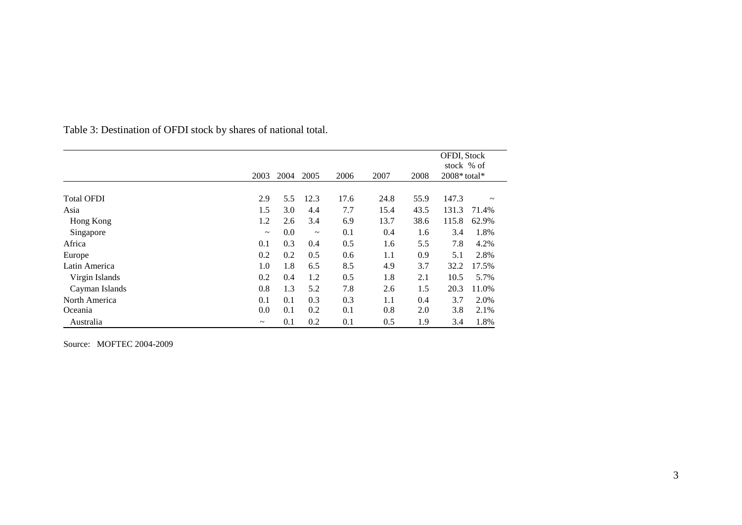|                   |            | 2004 | 2005        |      |      |      | OFDI, Stock<br>stock % of<br>$2008*$ total* |             |
|-------------------|------------|------|-------------|------|------|------|---------------------------------------------|-------------|
|                   | 2003       |      |             | 2006 | 2007 | 2008 |                                             |             |
| <b>Total OFDI</b> | 2.9        | 5.5  | 12.3        | 17.6 | 24.8 | 55.9 | 147.3                                       | $\thicksim$ |
| Asia              | 1.5        | 3.0  | 4.4         | 7.7  | 15.4 | 43.5 | 131.3                                       | 71.4%       |
| Hong Kong         | 1.2        | 2.6  | 3.4         | 6.9  | 13.7 | 38.6 | 115.8                                       | 62.9%       |
| Singapore         | $\tilde{}$ | 0.0  | $\thicksim$ | 0.1  | 0.4  | 1.6  | 3.4                                         | 1.8%        |
| Africa            | 0.1        | 0.3  | 0.4         | 0.5  | 1.6  | 5.5  | 7.8                                         | 4.2%        |
| Europe            | 0.2        | 0.2  | 0.5         | 0.6  | 1.1  | 0.9  | 5.1                                         | 2.8%        |
| Latin America     | 1.0        | 1.8  | 6.5         | 8.5  | 4.9  | 3.7  | 32.2                                        | 17.5%       |
| Virgin Islands    | 0.2        | 0.4  | 1.2         | 0.5  | 1.8  | 2.1  | 10.5                                        | 5.7%        |
| Cayman Islands    | 0.8        | 1.3  | 5.2         | 7.8  | 2.6  | 1.5  | 20.3                                        | 11.0%       |
| North America     | 0.1        | 0.1  | 0.3         | 0.3  | 1.1  | 0.4  | 3.7                                         | 2.0%        |
| Oceania           | 0.0        | 0.1  | 0.2         | 0.1  | 0.8  | 2.0  | 3.8                                         | 2.1%        |
| Australia         | $\tilde{}$ | 0.1  | 0.2         | 0.1  | 0.5  | 1.9  | 3.4                                         | 1.8%        |

Table 3: Destination of OFDI stock by shares of national total.

Source: MOFTEC 2004-2009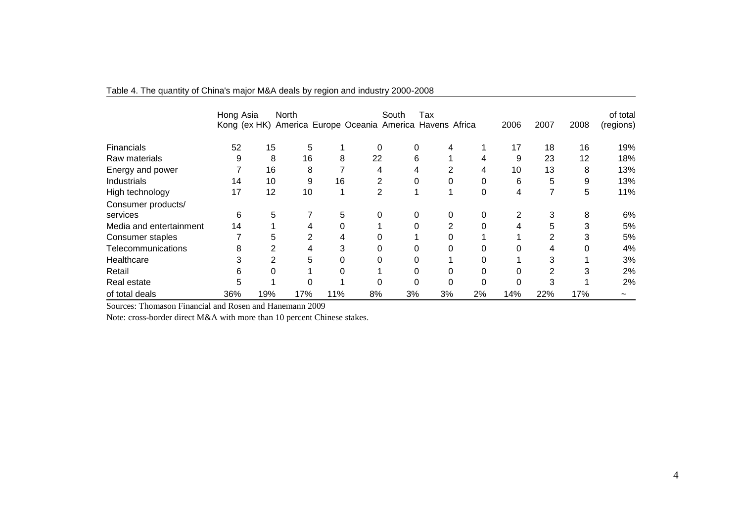|                         | Hong Asia<br>Kong (ex HK) |                | <b>North</b><br>America Europe Oceania America Havens Africa |     |    | South | Tax |          | 2006 | 2007 | 2008 | of total<br>(regions) |
|-------------------------|---------------------------|----------------|--------------------------------------------------------------|-----|----|-------|-----|----------|------|------|------|-----------------------|
| <b>Financials</b>       | 52                        | 15             | 5                                                            |     | 0  | 0     | 4   |          | 17   | 18   | 16   | 19%                   |
| Raw materials           | 9                         | 8              | 16                                                           | 8   | 22 | 6     |     | 4        | 9    | 23   | 12   | 18%                   |
| Energy and power        |                           | 16             | 8                                                            |     | 4  |       |     | 4        | 10   | 13   | 8    | 13%                   |
| <b>Industrials</b>      | 14                        | 10             | 9                                                            | 16  | 2  | 0     |     | 0        | 6    | 5    | 9    | 13%                   |
| High technology         | 17                        | 12             | 10                                                           |     | 2  |       |     | 0        | 4    | 7    | 5    | 11%                   |
| Consumer products/      |                           |                |                                                              |     |    |       |     |          |      |      |      |                       |
| services                | 6                         | 5              |                                                              | 5   | 0  | 0     | 0   | 0        | 2    | 3    | 8    | 6%                    |
| Media and entertainment | 14                        |                | 4                                                            | 0   |    | 0     | 2   | $\Omega$ | 4    | 5    | 3    | 5%                    |
| Consumer staples        |                           | 5              | 2                                                            | 4   |    |       |     |          |      | 2    | 3    | 5%                    |
| Telecommunications      | 8                         | $\overline{2}$ | 4                                                            | 3   | 0  |       | 0   | 0        | 0    | 4    |      | 4%                    |
| Healthcare              | 3                         | 2              | 5                                                            | 0   |    |       |     |          |      | 3    |      | 3%                    |
| Retail                  | 6                         |                |                                                              |     |    |       |     | 0        |      | 2    | 3    | 2%                    |
| Real estate             | 5                         |                | 0                                                            |     |    | 0     |     | 0        |      | 3    |      | 2%                    |
| of total deals          | 36%                       | 19%            | 17%                                                          | 11% | 8% | 3%    | 3%  | 2%       | 14%  | 22%  | 17%  | $\tilde{\phantom{a}}$ |

### Table 4. The quantity of China's major M&A deals by region and industry 2000-2008

Sources: Thomason Financial and Rosen and Hanemann 2009

Note: cross-border direct M&A with more than 10 percent Chinese stakes.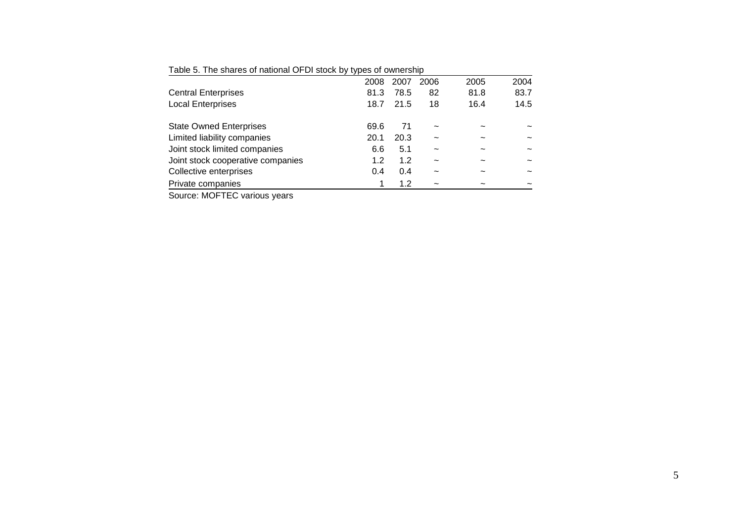| Table 5. The shares of national OFDI stock by types of ownership |      |      |      |                       |      |
|------------------------------------------------------------------|------|------|------|-----------------------|------|
|                                                                  | 2008 | 2007 | 2006 | 2005                  | 2004 |
| <b>Central Enterprises</b>                                       | 81.3 | 78.5 | 82   | 81.8                  | 83.7 |
| <b>Local Enterprises</b>                                         | 18.7 | 21.5 | 18   | 16.4                  | 14.5 |
| <b>State Owned Enterprises</b>                                   | 69.6 | 71   |      | $\tilde{\phantom{a}}$ |      |
| Limited liability companies                                      | 20.1 | 20.3 | ~    |                       |      |
| Joint stock limited companies                                    | 6.6  | 5.1  |      |                       | ∼    |
| Joint stock cooperative companies                                | 1.2  | 1.2  |      |                       |      |
| Collective enterprises                                           | 0.4  | 0.4  |      |                       |      |
| Private companies                                                |      | 1.2  | ~    |                       |      |
|                                                                  |      |      |      |                       |      |

Table 5. The shares of national OFDI stock by types of ownership

Source: MOFTEC various years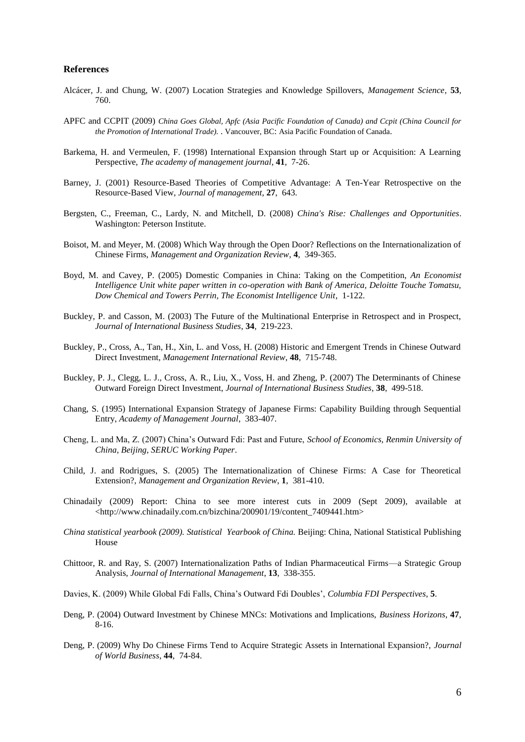#### **References**

- Alcácer, J. and Chung, W. (2007) Location Strategies and Knowledge Spillovers, *Management Science*, **53**, 760.
- APFC and CCPIT (2009) *China Goes Global, Apfc (Asia Pacific Foundation of Canada) and Ccpit (China Council for the Promotion of International Trade).* . Vancouver, BC: Asia Pacific Foundation of Canada.
- Barkema, H. and Vermeulen, F. (1998) International Expansion through Start up or Acquisition: A Learning Perspective, *The academy of management journal*, **41**, 7-26.
- Barney, J. (2001) Resource-Based Theories of Competitive Advantage: A Ten-Year Retrospective on the Resource-Based View, *Journal of management*, **27**, 643.
- Bergsten, C., Freeman, C., Lardy, N. and Mitchell, D. (2008) *China's Rise: Challenges and Opportunities*. Washington: Peterson Institute.
- Boisot, M. and Meyer, M. (2008) Which Way through the Open Door? Reflections on the Internationalization of Chinese Firms, *Management and Organization Review*, **4**, 349-365.
- Boyd, M. and Cavey, P. (2005) Domestic Companies in China: Taking on the Competition, *An Economist Intelligence Unit white paper written in co-operation with Bank of America, Deloitte Touche Tomatsu, Dow Chemical and Towers Perrin, The Economist Intelligence Unit*, 1-122.
- Buckley, P. and Casson, M. (2003) The Future of the Multinational Enterprise in Retrospect and in Prospect, *Journal of International Business Studies*, **34**, 219-223.
- Buckley, P., Cross, A., Tan, H., Xin, L. and Voss, H. (2008) Historic and Emergent Trends in Chinese Outward Direct Investment, *Management International Review*, **48**, 715-748.
- Buckley, P. J., Clegg, L. J., Cross, A. R., Liu, X., Voss, H. and Zheng, P. (2007) The Determinants of Chinese Outward Foreign Direct Investment, *Journal of International Business Studies*, **38**, 499-518.
- Chang, S. (1995) International Expansion Strategy of Japanese Firms: Capability Building through Sequential Entry, *Academy of Management Journal*, 383-407.
- Cheng, L. and Ma, Z. (2007) China's Outward Fdi: Past and Future, *School of Economics, Renmin University of China, Beijing, SERUC Working Paper*.
- Child, J. and Rodrigues, S. (2005) The Internationalization of Chinese Firms: A Case for Theoretical Extension?, *Management and Organization Review*, **1**, 381-410.
- Chinadaily (2009) Report: China to see more interest cuts in 2009 (Sept 2009), available at <http://www.chinadaily.com.cn/bizchina/200901/19/content\_7409441.htm>
- *China statistical yearbook (2009). Statistical Yearbook of China.* Beijing: China, National Statistical Publishing House
- Chittoor, R. and Ray, S. (2007) Internationalization Paths of Indian Pharmaceutical Firms—a Strategic Group Analysis, *Journal of International Management*, **13**, 338-355.
- Davies, K. (2009) While Global Fdi Falls, China's Outward Fdi Doubles', *Columbia FDI Perspectives*, **5**.
- Deng, P. (2004) Outward Investment by Chinese MNCs: Motivations and Implications, *Business Horizons*, **47**, 8-16.
- Deng, P. (2009) Why Do Chinese Firms Tend to Acquire Strategic Assets in International Expansion?, *Journal of World Business*, **44**, 74-84.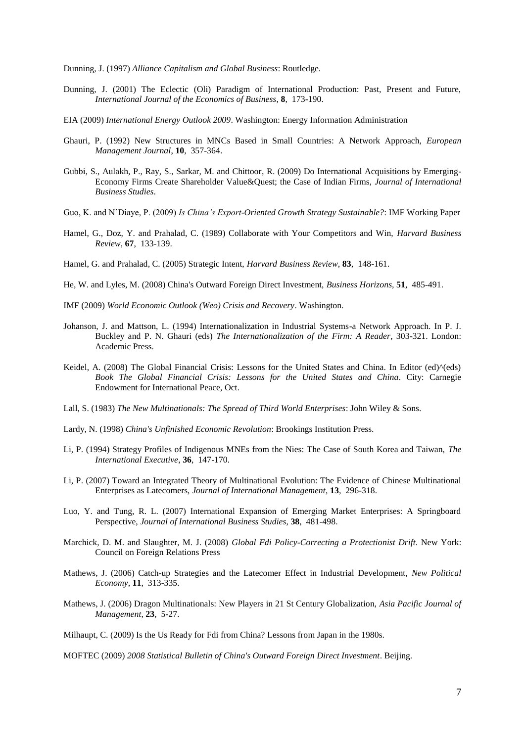Dunning, J. (1997) *Alliance Capitalism and Global Business*: Routledge.

- Dunning, J. (2001) The Eclectic (Oli) Paradigm of International Production: Past, Present and Future, *International Journal of the Economics of Business*, **8**, 173-190.
- EIA (2009) *International Energy Outlook 2009*. Washington: Energy Information Administration
- Ghauri, P. (1992) New Structures in MNCs Based in Small Countries: A Network Approach, *European Management Journal*, **10**, 357-364.
- Gubbi, S., Aulakh, P., Ray, S., Sarkar, M. and Chittoor, R. (2009) Do International Acquisitions by Emerging-Economy Firms Create Shareholder Value&Quest; the Case of Indian Firms, *Journal of International Business Studies*.
- Guo, K. and N'Diaye, P. (2009) *Is China's Export-Oriented Growth Strategy Sustainable?*: IMF Working Paper
- Hamel, G., Doz, Y. and Prahalad, C. (1989) Collaborate with Your Competitors and Win, *Harvard Business Review*, **67**, 133-139.
- Hamel, G. and Prahalad, C. (2005) Strategic Intent, *Harvard Business Review*, **83**, 148-161.
- He, W. and Lyles, M. (2008) China's Outward Foreign Direct Investment, *Business Horizons*, **51**, 485-491.
- IMF (2009) *World Economic Outlook (Weo) Crisis and Recovery*. Washington.
- Johanson, J. and Mattson, L. (1994) Internationalization in Industrial Systems-a Network Approach. In P. J. Buckley and P. N. Ghauri (eds) *The Internationalization of the Firm: A Reader*, 303-321. London: Academic Press.
- Keidel, A. (2008) The Global Financial Crisis: Lessons for the United States and China. In Editor (ed)^(eds) *Book The Global Financial Crisis: Lessons for the United States and China*. City: Carnegie Endowment for International Peace, Oct.
- Lall, S. (1983) *The New Multinationals: The Spread of Third World Enterprises*: John Wiley & Sons.
- Lardy, N. (1998) *China's Unfinished Economic Revolution*: Brookings Institution Press.
- Li, P. (1994) Strategy Profiles of Indigenous MNEs from the Nies: The Case of South Korea and Taiwan, *The International Executive*, **36**, 147-170.
- Li, P. (2007) Toward an Integrated Theory of Multinational Evolution: The Evidence of Chinese Multinational Enterprises as Latecomers, *Journal of International Management*, **13**, 296-318.
- Luo, Y. and Tung, R. L. (2007) International Expansion of Emerging Market Enterprises: A Springboard Perspective, *Journal of International Business Studies*, **38**, 481-498.
- Marchick, D. M. and Slaughter, M. J. (2008) *Global Fdi Policy-Correcting a Protectionist Drift*. New York: Council on Foreign Relations Press
- Mathews, J. (2006) Catch-up Strategies and the Latecomer Effect in Industrial Development, *New Political Economy*, **11**, 313-335.
- Mathews, J. (2006) Dragon Multinationals: New Players in 21 St Century Globalization, *Asia Pacific Journal of Management*, **23**, 5-27.

MOFTEC (2009) *2008 Statistical Bulletin of China's Outward Foreign Direct Investment*. Beijing.

Milhaupt, C. (2009) Is the Us Ready for Fdi from China? Lessons from Japan in the 1980s.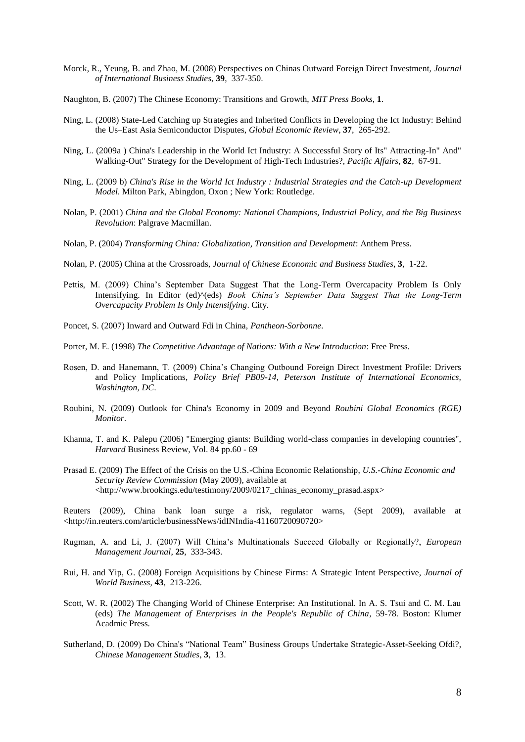- Morck, R., Yeung, B. and Zhao, M. (2008) Perspectives on Chinas Outward Foreign Direct Investment, *Journal of International Business Studies*, **39**, 337-350.
- Naughton, B. (2007) The Chinese Economy: Transitions and Growth, *MIT Press Books*, **1**.
- Ning, L. (2008) State-Led Catching up Strategies and Inherited Conflicts in Developing the Ict Industry: Behind the Us–East Asia Semiconductor Disputes, *Global Economic Review*, **37**, 265-292.
- Ning, L. (2009a ) China's Leadership in the World Ict Industry: A Successful Story of Its" Attracting-In" And" Walking-Out" Strategy for the Development of High-Tech Industries?, *Pacific Affairs*, **82**, 67-91.
- Ning, L. (2009 b) *China's Rise in the World Ict Industry : Industrial Strategies and the Catch-up Development Model*. Milton Park, Abingdon, Oxon ; New York: Routledge.
- Nolan, P. (2001) *China and the Global Economy: National Champions, Industrial Policy, and the Big Business Revolution*: Palgrave Macmillan.
- Nolan, P. (2004) *Transforming China: Globalization, Transition and Development*: Anthem Press.
- Nolan, P. (2005) China at the Crossroads, *Journal of Chinese Economic and Business Studies*, **3**, 1-22.
- Pettis, M. (2009) China's September Data Suggest That the Long-Term Overcapacity Problem Is Only Intensifying. In Editor (ed)^(eds) *Book China's September Data Suggest That the Long-Term Overcapacity Problem Is Only Intensifying*. City.
- Poncet, S. (2007) Inward and Outward Fdi in China, *Pantheon-Sorbonne*.
- Porter, M. E. (1998) *The Competitive Advantage of Nations: With a New Introduction*: Free Press.
- Rosen, D. and Hanemann, T. (2009) China's Changing Outbound Foreign Direct Investment Profile: Drivers and Policy Implications, *Policy Brief PB09-14, Peterson Institute of International Economics, Washington, DC*.
- Roubini, N. (2009) Outlook for China's Economy in 2009 and Beyond *Roubini Global Economics (RGE) Monitor*.
- Khanna, T. and K. Palepu (2006) "Emerging giants: Building world-class companies in developing countries", *Harvard* Business Review, Vol. 84 pp.60 - 69
- Prasad E. (2009) The Effect of the Crisis on the U.S.-China Economic Relationship, *U.S.-China Economic and Security Review Commission* (May 2009), available at <http://www.brookings.edu/testimony/2009/0217\_chinas\_economy\_prasad.aspx>
- Reuters (2009), China bank loan surge a risk, regulator warns, (Sept 2009), available at <http://in.reuters.com/article/businessNews/idINIndia-41160720090720>
- Rugman, A. and Li, J. (2007) Will China's Multinationals Succeed Globally or Regionally?, *European Management Journal*, **25**, 333-343.
- Rui, H. and Yip, G. (2008) Foreign Acquisitions by Chinese Firms: A Strategic Intent Perspective, *Journal of World Business*, **43**, 213-226.
- Scott, W. R. (2002) The Changing World of Chinese Enterprise: An Institutional. In A. S. Tsui and C. M. Lau (eds) *The Management of Enterprises in the People's Republic of China*, 59-78. Boston: Klumer Acadmic Press.
- Sutherland, D. (2009) Do China's "National Team" Business Groups Undertake Strategic-Asset-Seeking Ofdi?, *Chinese Management Studies*, **3**, 13.